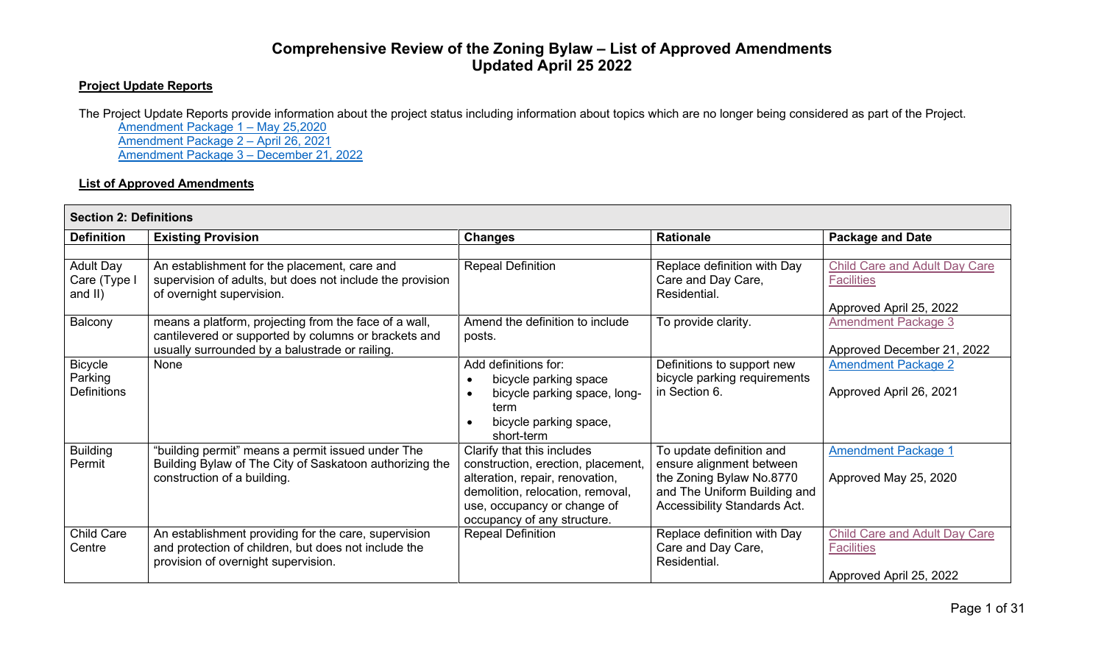## **Comprehensive Review of the Zoning Bylaw – List of Approved Amendments Updated April 25 2022**

## **Project Update Reports**

The Project Update Reports provide information about the project status including information about topics which are no longer being considered as part of the Project. [Amendment Package 1 – May 25,2020](https://pub-saskatoon.escribemeetings.com/filestream.ashx?DocumentId=114680) [Amendment Package 2 –](https://pub-saskatoon.escribemeetings.com/filestream.ashx?DocumentId=134212) April 26, 2021 [Amendment Package 3 –](https://pub-saskatoon.escribemeetings.com/filestream.ashx?DocumentId=153287) December 21, 2022

## **List of Approved Amendments**

| <b>Section 2: Definitions</b>                 |                                                                                                                                                                 |                                                                                                                                                                                                       |                                                                                                                                                  |                                                                               |  |  |
|-----------------------------------------------|-----------------------------------------------------------------------------------------------------------------------------------------------------------------|-------------------------------------------------------------------------------------------------------------------------------------------------------------------------------------------------------|--------------------------------------------------------------------------------------------------------------------------------------------------|-------------------------------------------------------------------------------|--|--|
| <b>Definition</b>                             | <b>Existing Provision</b>                                                                                                                                       | <b>Changes</b>                                                                                                                                                                                        | <b>Rationale</b>                                                                                                                                 | <b>Package and Date</b>                                                       |  |  |
| <b>Adult Day</b><br>Care (Type I<br>and $II)$ | An establishment for the placement, care and<br>supervision of adults, but does not include the provision<br>of overnight supervision.                          | <b>Repeal Definition</b>                                                                                                                                                                              | Replace definition with Day<br>Care and Day Care,<br>Residential.                                                                                | Child Care and Adult Day Care<br><b>Facilities</b><br>Approved April 25, 2022 |  |  |
| Balcony                                       | means a platform, projecting from the face of a wall,<br>cantilevered or supported by columns or brackets and<br>usually surrounded by a balustrade or railing. | Amend the definition to include<br>posts.                                                                                                                                                             | To provide clarity.                                                                                                                              | <b>Amendment Package 3</b><br>Approved December 21, 2022                      |  |  |
| <b>Bicycle</b><br>Parking<br>Definitions      | None                                                                                                                                                            | Add definitions for:<br>bicycle parking space<br>bicycle parking space, long-<br>term<br>bicycle parking space,<br>short-term                                                                         | Definitions to support new<br>bicycle parking requirements<br>in Section 6.                                                                      | <b>Amendment Package 2</b><br>Approved April 26, 2021                         |  |  |
| <b>Building</b><br>Permit                     | "building permit" means a permit issued under The<br>Building Bylaw of The City of Saskatoon authorizing the<br>construction of a building.                     | Clarify that this includes<br>construction, erection, placement,<br>alteration, repair, renovation,<br>demolition, relocation, removal,<br>use, occupancy or change of<br>occupancy of any structure. | To update definition and<br>ensure alignment between<br>the Zoning Bylaw No.8770<br>and The Uniform Building and<br>Accessibility Standards Act. | <b>Amendment Package 1</b><br>Approved May 25, 2020                           |  |  |
| Child Care<br>Centre                          | An establishment providing for the care, supervision<br>and protection of children, but does not include the<br>provision of overnight supervision.             | <b>Repeal Definition</b>                                                                                                                                                                              | Replace definition with Day<br>Care and Day Care,<br>Residential.                                                                                | Child Care and Adult Day Care<br><b>Facilities</b><br>Approved April 25, 2022 |  |  |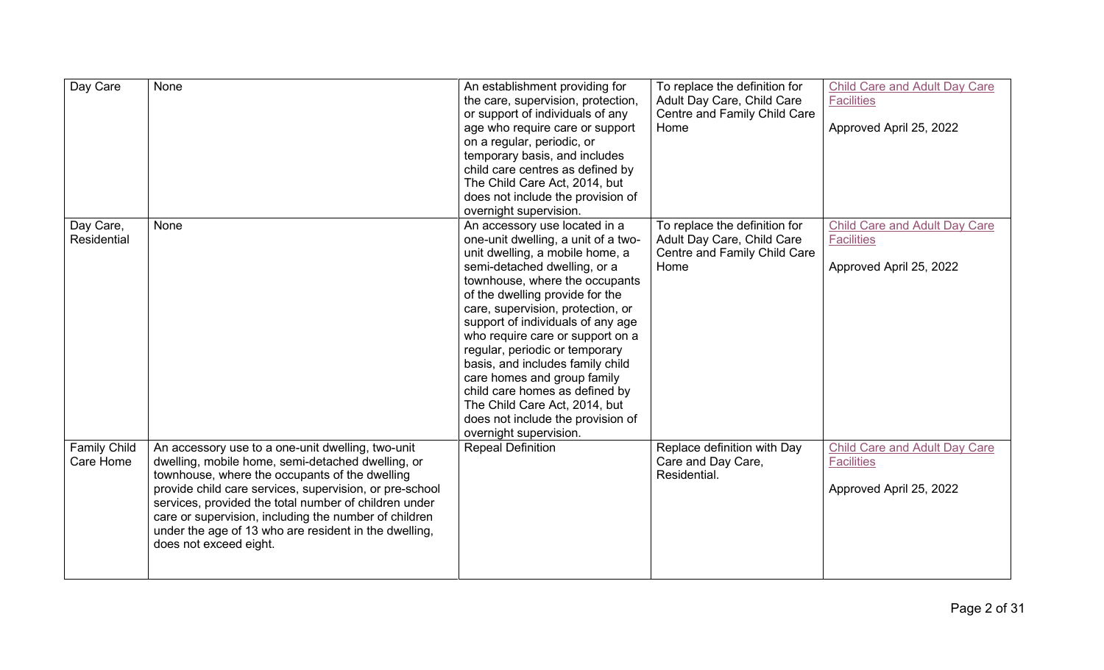| Day Care                         | None                                                                                                                                                                                                                                                                                                                                                                                                                     | An establishment providing for<br>the care, supervision, protection,<br>or support of individuals of any<br>age who require care or support<br>on a regular, periodic, or<br>temporary basis, and includes<br>child care centres as defined by<br>The Child Care Act, 2014, but<br>does not include the provision of<br>overnight supervision.                                                                                                                                                                                                                    | To replace the definition for<br>Adult Day Care, Child Care<br>Centre and Family Child Care<br>Home | <b>Child Care and Adult Day Care</b><br><b>Facilities</b><br>Approved April 25, 2022 |
|----------------------------------|--------------------------------------------------------------------------------------------------------------------------------------------------------------------------------------------------------------------------------------------------------------------------------------------------------------------------------------------------------------------------------------------------------------------------|-------------------------------------------------------------------------------------------------------------------------------------------------------------------------------------------------------------------------------------------------------------------------------------------------------------------------------------------------------------------------------------------------------------------------------------------------------------------------------------------------------------------------------------------------------------------|-----------------------------------------------------------------------------------------------------|--------------------------------------------------------------------------------------|
| Day Care,<br><b>Residential</b>  | None                                                                                                                                                                                                                                                                                                                                                                                                                     | An accessory use located in a<br>one-unit dwelling, a unit of a two-<br>unit dwelling, a mobile home, a<br>semi-detached dwelling, or a<br>townhouse, where the occupants<br>of the dwelling provide for the<br>care, supervision, protection, or<br>support of individuals of any age<br>who require care or support on a<br>regular, periodic or temporary<br>basis, and includes family child<br>care homes and group family<br>child care homes as defined by<br>The Child Care Act, 2014, but<br>does not include the provision of<br>overnight supervision. | To replace the definition for<br>Adult Day Care, Child Care<br>Centre and Family Child Care<br>Home | Child Care and Adult Day Care<br><b>Facilities</b><br>Approved April 25, 2022        |
| <b>Family Child</b><br>Care Home | An accessory use to a one-unit dwelling, two-unit<br>dwelling, mobile home, semi-detached dwelling, or<br>townhouse, where the occupants of the dwelling<br>provide child care services, supervision, or pre-school<br>services, provided the total number of children under<br>care or supervision, including the number of children<br>under the age of 13 who are resident in the dwelling,<br>does not exceed eight. | <b>Repeal Definition</b>                                                                                                                                                                                                                                                                                                                                                                                                                                                                                                                                          | Replace definition with Day<br>Care and Day Care,<br>Residential.                                   | <b>Child Care and Adult Day Care</b><br><b>Facilities</b><br>Approved April 25, 2022 |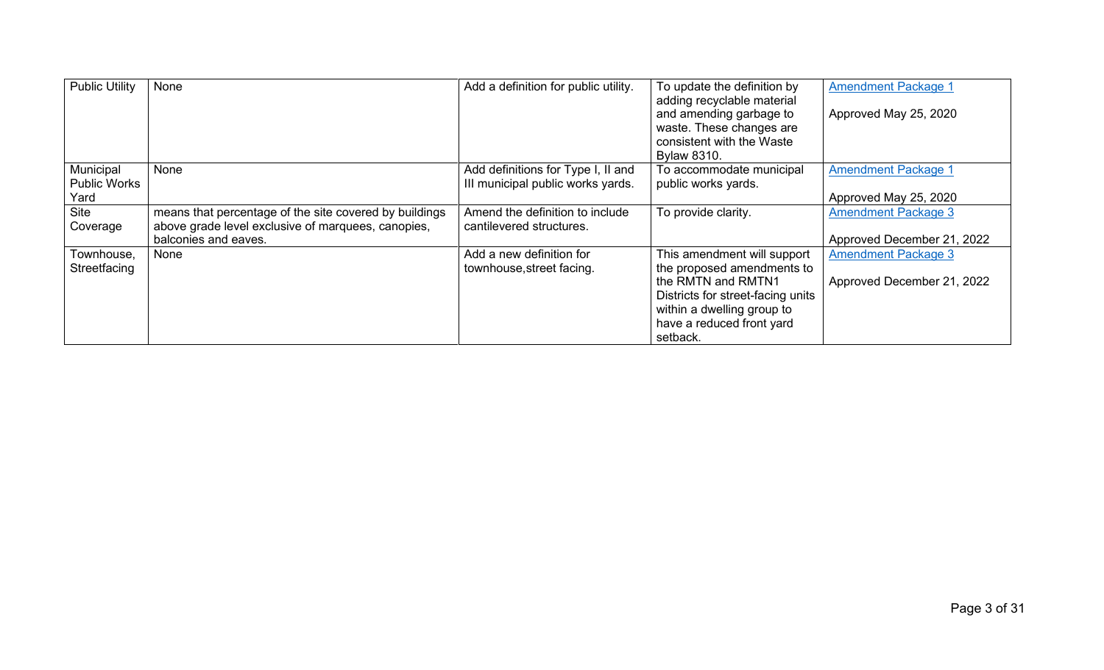| <b>Public Utility</b>                    | None                                                                                                                                 | Add a definition for public utility.                                    | To update the definition by<br>adding recyclable material<br>and amending garbage to<br>waste. These changes are<br>consistent with the Waste<br><b>Bylaw 8310.</b>                         | <b>Amendment Package 1</b><br>Approved May 25, 2020      |
|------------------------------------------|--------------------------------------------------------------------------------------------------------------------------------------|-------------------------------------------------------------------------|---------------------------------------------------------------------------------------------------------------------------------------------------------------------------------------------|----------------------------------------------------------|
| Municipal<br><b>Public Works</b><br>Yard | None                                                                                                                                 | Add definitions for Type I, II and<br>III municipal public works yards. | To accommodate municipal<br>public works yards.                                                                                                                                             | <b>Amendment Package 1</b><br>Approved May 25, 2020      |
| <b>Site</b><br>Coverage                  | means that percentage of the site covered by buildings<br>above grade level exclusive of marquees, canopies,<br>balconies and eaves. | Amend the definition to include<br>cantilevered structures.             | To provide clarity.                                                                                                                                                                         | <b>Amendment Package 3</b><br>Approved December 21, 2022 |
| Townhouse,<br>Streetfacing               | None                                                                                                                                 | Add a new definition for<br>townhouse, street facing.                   | This amendment will support<br>the proposed amendments to<br>the RMTN and RMTN1<br>Districts for street-facing units<br>within a dwelling group to<br>have a reduced front yard<br>setback. | <b>Amendment Package 3</b><br>Approved December 21, 2022 |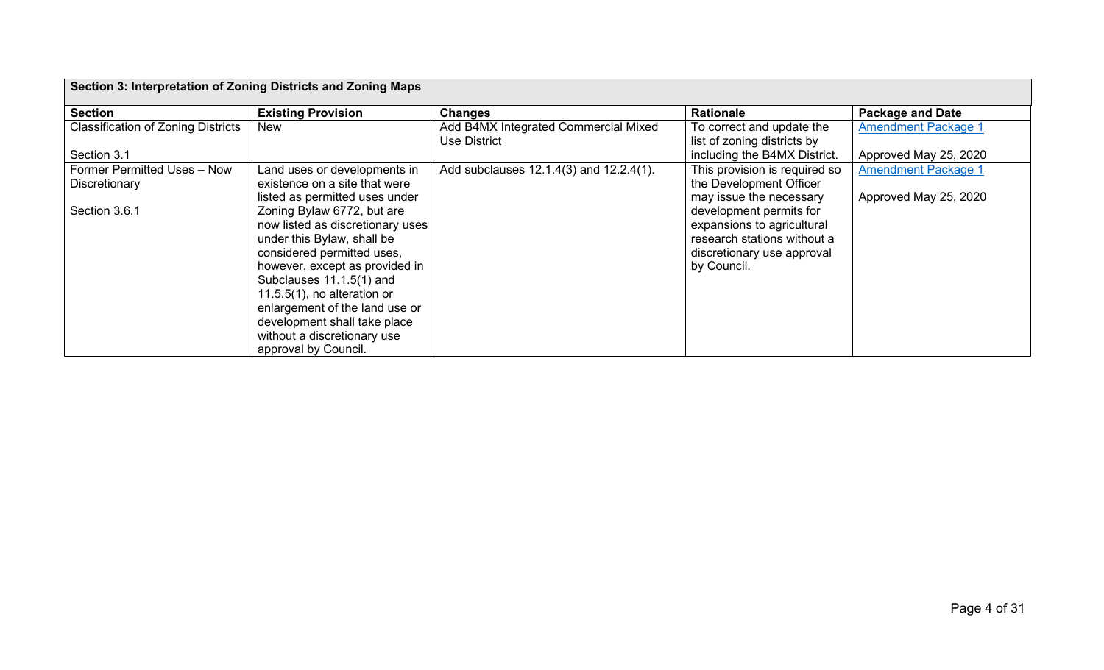| Section 3: Interpretation of Zoning Districts and Zoning Maps |                                                                                                                                                                                          |                                                      |                                                                                                                                   |                            |  |  |
|---------------------------------------------------------------|------------------------------------------------------------------------------------------------------------------------------------------------------------------------------------------|------------------------------------------------------|-----------------------------------------------------------------------------------------------------------------------------------|----------------------------|--|--|
| <b>Section</b>                                                | <b>Existing Provision</b>                                                                                                                                                                | <b>Changes</b>                                       | <b>Rationale</b>                                                                                                                  | <b>Package and Date</b>    |  |  |
| <b>Classification of Zoning Districts</b>                     | New                                                                                                                                                                                      | Add B4MX Integrated Commercial Mixed<br>Use District | To correct and update the<br>list of zoning districts by                                                                          | <b>Amendment Package 1</b> |  |  |
| Section 3.1                                                   |                                                                                                                                                                                          |                                                      | including the B4MX District.                                                                                                      | Approved May 25, 2020      |  |  |
| Former Permitted Uses - Now<br>Discretionary                  | Land uses or developments in<br>existence on a site that were                                                                                                                            | Add subclauses 12.1.4(3) and 12.2.4(1).              | This provision is required so<br>the Development Officer                                                                          | <b>Amendment Package 1</b> |  |  |
|                                                               | listed as permitted uses under                                                                                                                                                           |                                                      | may issue the necessary                                                                                                           | Approved May 25, 2020      |  |  |
| Section 3.6.1                                                 | Zoning Bylaw 6772, but are<br>now listed as discretionary uses<br>under this Bylaw, shall be<br>considered permitted uses,<br>however, except as provided in<br>Subclauses 11.1.5(1) and |                                                      | development permits for<br>expansions to agricultural<br>research stations without a<br>discretionary use approval<br>by Council. |                            |  |  |
|                                                               | 11.5.5 $(1)$ , no alteration or<br>enlargement of the land use or<br>development shall take place                                                                                        |                                                      |                                                                                                                                   |                            |  |  |
|                                                               | without a discretionary use<br>approval by Council.                                                                                                                                      |                                                      |                                                                                                                                   |                            |  |  |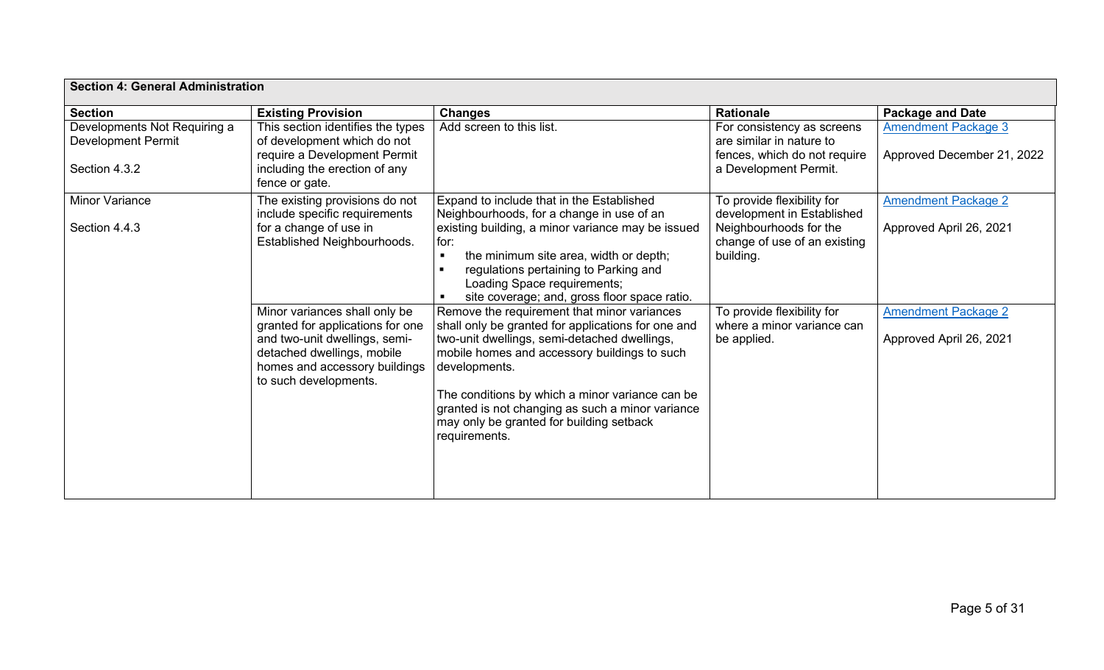| <b>Section 4: General Administration</b>                  |                                                                                                                                                                                            |                                                                                                                                                                                                                                                                                                                                                                                        |                                                                                        |                                                          |  |
|-----------------------------------------------------------|--------------------------------------------------------------------------------------------------------------------------------------------------------------------------------------------|----------------------------------------------------------------------------------------------------------------------------------------------------------------------------------------------------------------------------------------------------------------------------------------------------------------------------------------------------------------------------------------|----------------------------------------------------------------------------------------|----------------------------------------------------------|--|
| <b>Section</b>                                            | <b>Existing Provision</b>                                                                                                                                                                  | <b>Changes</b>                                                                                                                                                                                                                                                                                                                                                                         | <b>Rationale</b>                                                                       | <b>Package and Date</b>                                  |  |
| Developments Not Requiring a<br><b>Development Permit</b> | This section identifies the types<br>of development which do not<br>require a Development Permit                                                                                           | Add screen to this list.                                                                                                                                                                                                                                                                                                                                                               | For consistency as screens<br>are similar in nature to<br>fences, which do not require | <b>Amendment Package 3</b><br>Approved December 21, 2022 |  |
| Section 4.3.2                                             | including the erection of any<br>fence or gate.                                                                                                                                            |                                                                                                                                                                                                                                                                                                                                                                                        | a Development Permit.                                                                  |                                                          |  |
| <b>Minor Variance</b>                                     | The existing provisions do not<br>include specific requirements                                                                                                                            | Expand to include that in the Established<br>Neighbourhoods, for a change in use of an                                                                                                                                                                                                                                                                                                 | To provide flexibility for<br>development in Established                               | <b>Amendment Package 2</b>                               |  |
| Section 4.4.3                                             | for a change of use in<br>Established Neighbourhoods.                                                                                                                                      | existing building, a minor variance may be issued<br>for:<br>the minimum site area, width or depth;<br>$\blacksquare$<br>regulations pertaining to Parking and<br>п<br>Loading Space requirements;<br>site coverage; and, gross floor space ratio.<br>$\blacksquare$                                                                                                                   | Neighbourhoods for the<br>change of use of an existing<br>building.                    | Approved April 26, 2021                                  |  |
|                                                           | Minor variances shall only be<br>granted for applications for one<br>and two-unit dwellings, semi-<br>detached dwellings, mobile<br>homes and accessory buildings<br>to such developments. | Remove the requirement that minor variances<br>shall only be granted for applications for one and<br>two-unit dwellings, semi-detached dwellings,<br>mobile homes and accessory buildings to such<br>developments.<br>The conditions by which a minor variance can be<br>granted is not changing as such a minor variance<br>may only be granted for building setback<br>requirements. | To provide flexibility for<br>where a minor variance can<br>be applied.                | <b>Amendment Package 2</b><br>Approved April 26, 2021    |  |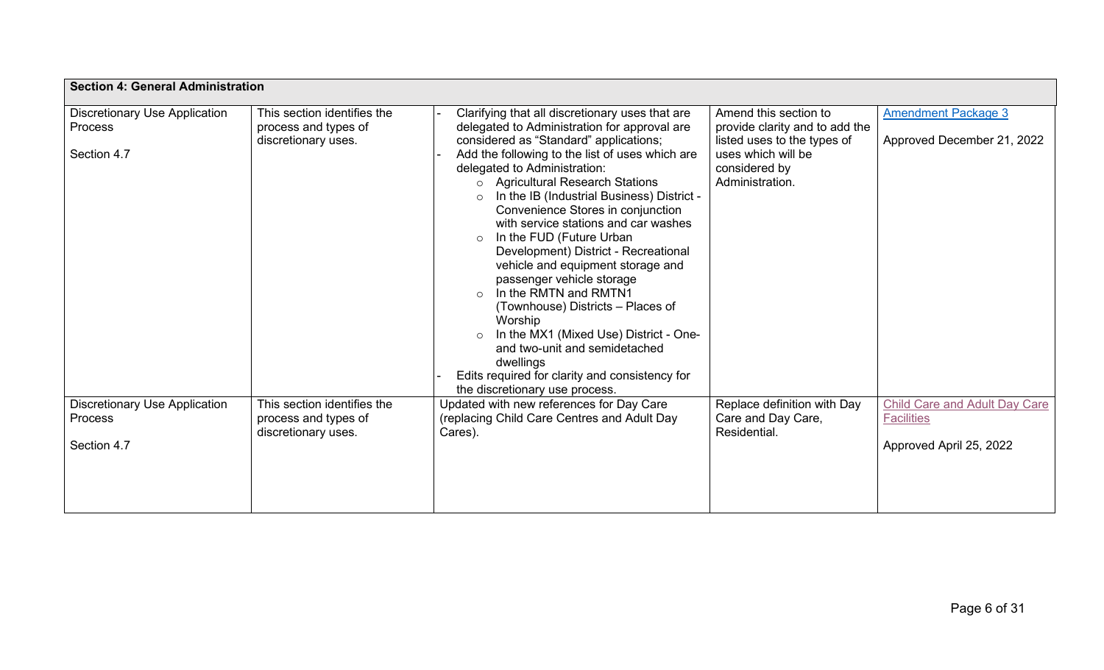| <b>Section 4: General Administration</b>                       |                                                                            |                                                                                                                                                                                                                                                                                                                                                                                                                                                                                                                                                                                                                                                                                                                                                                                                                                                    |                                                                                                                                                  |                                                                                      |
|----------------------------------------------------------------|----------------------------------------------------------------------------|----------------------------------------------------------------------------------------------------------------------------------------------------------------------------------------------------------------------------------------------------------------------------------------------------------------------------------------------------------------------------------------------------------------------------------------------------------------------------------------------------------------------------------------------------------------------------------------------------------------------------------------------------------------------------------------------------------------------------------------------------------------------------------------------------------------------------------------------------|--------------------------------------------------------------------------------------------------------------------------------------------------|--------------------------------------------------------------------------------------|
| <b>Discretionary Use Application</b><br>Process<br>Section 4.7 | This section identifies the<br>process and types of<br>discretionary uses. | Clarifying that all discretionary uses that are<br>delegated to Administration for approval are<br>considered as "Standard" applications;<br>Add the following to the list of uses which are<br>delegated to Administration:<br><b>Agricultural Research Stations</b><br>$\circ$<br>In the IB (Industrial Business) District -<br>$\circ$<br>Convenience Stores in conjunction<br>with service stations and car washes<br>In the FUD (Future Urban<br>$\circ$<br>Development) District - Recreational<br>vehicle and equipment storage and<br>passenger vehicle storage<br>In the RMTN and RMTN1<br>$\circ$<br>(Townhouse) Districts - Places of<br>Worship<br>In the MX1 (Mixed Use) District - One-<br>$\circ$<br>and two-unit and semidetached<br>dwellings<br>Edits required for clarity and consistency for<br>the discretionary use process. | Amend this section to<br>provide clarity and to add the<br>listed uses to the types of<br>uses which will be<br>considered by<br>Administration. | <b>Amendment Package 3</b><br>Approved December 21, 2022                             |
| <b>Discretionary Use Application</b><br>Process<br>Section 4.7 | This section identifies the<br>process and types of<br>discretionary uses. | Updated with new references for Day Care<br>(replacing Child Care Centres and Adult Day<br>Cares).                                                                                                                                                                                                                                                                                                                                                                                                                                                                                                                                                                                                                                                                                                                                                 | Replace definition with Day<br>Care and Day Care,<br>Residential.                                                                                | <b>Child Care and Adult Day Care</b><br><b>Facilities</b><br>Approved April 25, 2022 |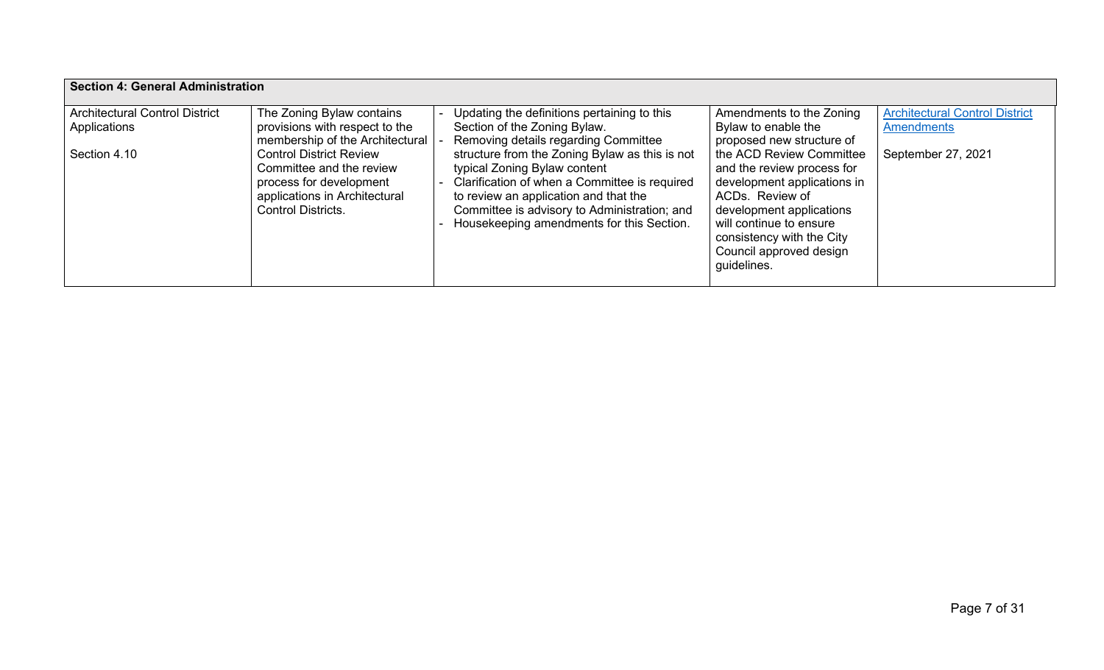| <b>Section 4: General Administration</b> |                                                                                                                                                     |  |                                                                                                                                                                                                                                                                       |                                                                                                                                                                                                                                        |                                       |  |
|------------------------------------------|-----------------------------------------------------------------------------------------------------------------------------------------------------|--|-----------------------------------------------------------------------------------------------------------------------------------------------------------------------------------------------------------------------------------------------------------------------|----------------------------------------------------------------------------------------------------------------------------------------------------------------------------------------------------------------------------------------|---------------------------------------|--|
| <b>Architectural Control District</b>    | The Zoning Bylaw contains                                                                                                                           |  | Updating the definitions pertaining to this                                                                                                                                                                                                                           | Amendments to the Zoning                                                                                                                                                                                                               | <b>Architectural Control District</b> |  |
| Applications                             | provisions with respect to the<br>membership of the Architectural                                                                                   |  | Section of the Zoning Bylaw.<br>Removing details regarding Committee                                                                                                                                                                                                  | Bylaw to enable the<br>proposed new structure of                                                                                                                                                                                       | <b>Amendments</b>                     |  |
| Section 4.10                             | <b>Control District Review</b><br>Committee and the review<br>process for development<br>applications in Architectural<br><b>Control Districts.</b> |  | structure from the Zoning Bylaw as this is not<br>typical Zoning Bylaw content<br>Clarification of when a Committee is required<br>to review an application and that the<br>Committee is advisory to Administration; and<br>Housekeeping amendments for this Section. | the ACD Review Committee<br>and the review process for<br>development applications in<br>ACDs. Review of<br>development applications<br>will continue to ensure<br>consistency with the City<br>Council approved design<br>guidelines. | September 27, 2021                    |  |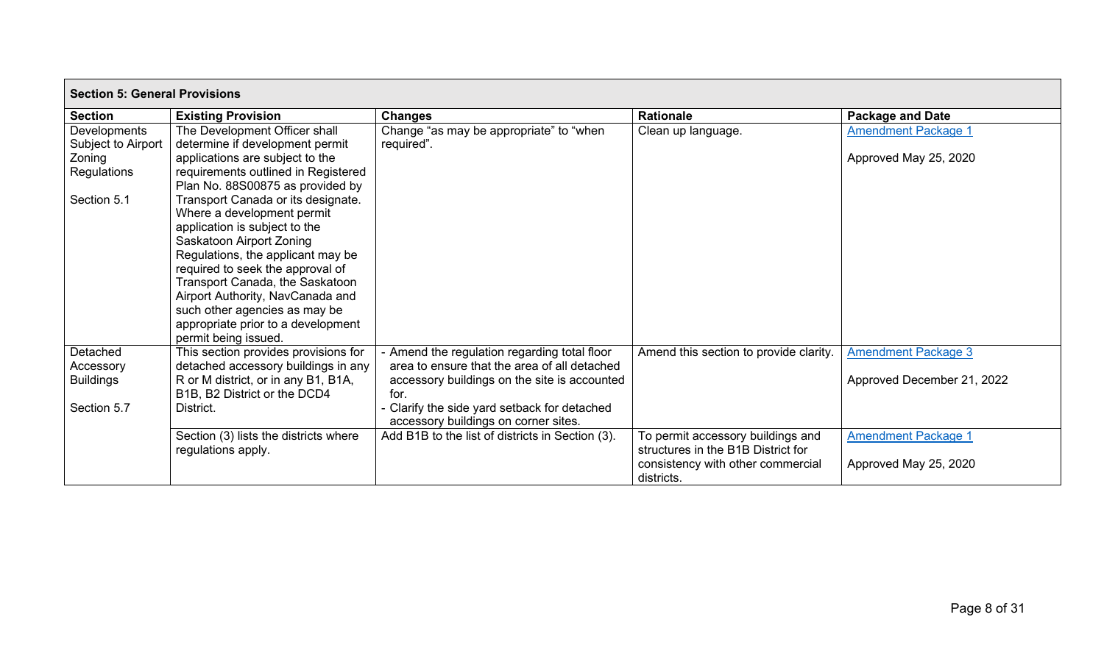| <b>Section 5: General Provisions</b>                        |                                                                                                                                                                                                                                                                                                                                                                              |                                                                                                                                                                                                    |                                                                                                                            |                                                          |  |
|-------------------------------------------------------------|------------------------------------------------------------------------------------------------------------------------------------------------------------------------------------------------------------------------------------------------------------------------------------------------------------------------------------------------------------------------------|----------------------------------------------------------------------------------------------------------------------------------------------------------------------------------------------------|----------------------------------------------------------------------------------------------------------------------------|----------------------------------------------------------|--|
| <b>Section</b>                                              | <b>Existing Provision</b>                                                                                                                                                                                                                                                                                                                                                    | <b>Changes</b>                                                                                                                                                                                     | <b>Rationale</b>                                                                                                           | <b>Package and Date</b>                                  |  |
| Developments<br>Subject to Airport<br>Zoning<br>Regulations | The Development Officer shall<br>determine if development permit<br>applications are subject to the<br>requirements outlined in Registered<br>Plan No. 88S00875 as provided by                                                                                                                                                                                               | Change "as may be appropriate" to "when<br>required".                                                                                                                                              | Clean up language.                                                                                                         | <b>Amendment Package 1</b><br>Approved May 25, 2020      |  |
| Section 5.1                                                 | Transport Canada or its designate.<br>Where a development permit<br>application is subject to the<br>Saskatoon Airport Zoning<br>Regulations, the applicant may be<br>required to seek the approval of<br>Transport Canada, the Saskatoon<br>Airport Authority, NavCanada and<br>such other agencies as may be<br>appropriate prior to a development<br>permit being issued. |                                                                                                                                                                                                    |                                                                                                                            |                                                          |  |
| Detached<br>Accessory<br><b>Buildings</b><br>Section 5.7    | This section provides provisions for<br>detached accessory buildings in any<br>R or M district, or in any B1, B1A,<br>B1B, B2 District or the DCD4<br>District.                                                                                                                                                                                                              | - Amend the regulation regarding total floor<br>area to ensure that the area of all detached<br>accessory buildings on the site is accounted<br>for.<br>Clarify the side yard setback for detached | Amend this section to provide clarity.                                                                                     | <b>Amendment Package 3</b><br>Approved December 21, 2022 |  |
|                                                             |                                                                                                                                                                                                                                                                                                                                                                              | accessory buildings on corner sites.                                                                                                                                                               |                                                                                                                            |                                                          |  |
|                                                             | Section (3) lists the districts where<br>regulations apply.                                                                                                                                                                                                                                                                                                                  | Add B1B to the list of districts in Section (3).                                                                                                                                                   | To permit accessory buildings and<br>structures in the B1B District for<br>consistency with other commercial<br>districts. | <b>Amendment Package 1</b><br>Approved May 25, 2020      |  |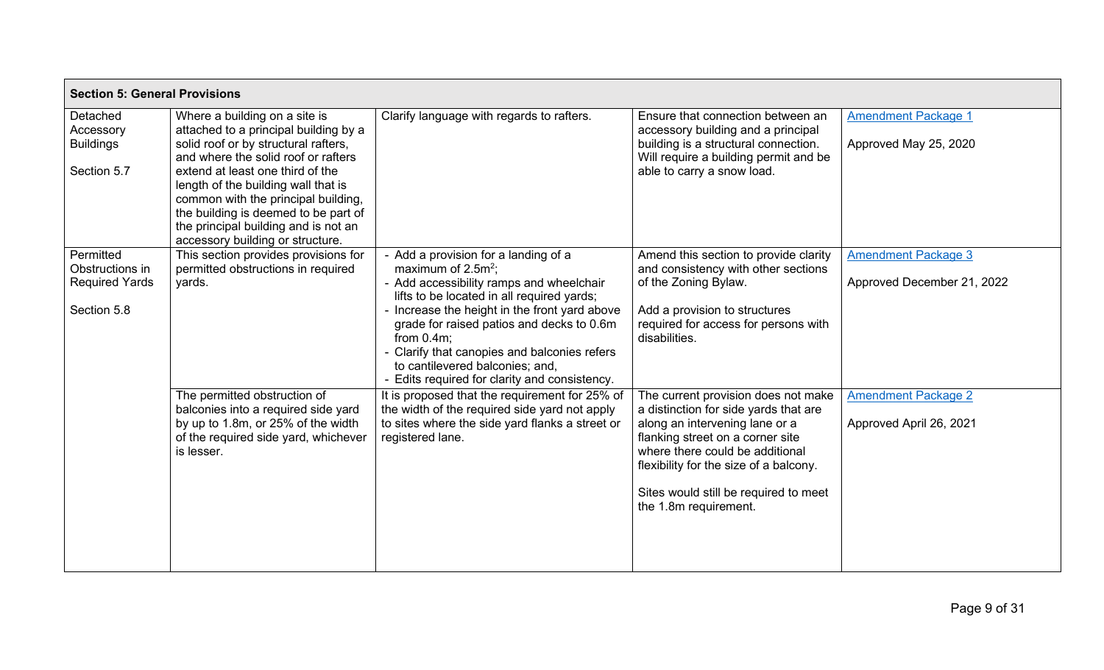| <b>Section 5: General Provisions</b>                                 |                                                                                                                                                                                                                                                                                                                                                                                             |                                                                                                                                                                                                                                                                                                                                                                                                      |                                                                                                                                                                                                                                                                                                   |                                                          |
|----------------------------------------------------------------------|---------------------------------------------------------------------------------------------------------------------------------------------------------------------------------------------------------------------------------------------------------------------------------------------------------------------------------------------------------------------------------------------|------------------------------------------------------------------------------------------------------------------------------------------------------------------------------------------------------------------------------------------------------------------------------------------------------------------------------------------------------------------------------------------------------|---------------------------------------------------------------------------------------------------------------------------------------------------------------------------------------------------------------------------------------------------------------------------------------------------|----------------------------------------------------------|
| Detached<br>Accessory<br><b>Buildings</b><br>Section 5.7             | Where a building on a site is<br>attached to a principal building by a<br>solid roof or by structural rafters,<br>and where the solid roof or rafters<br>extend at least one third of the<br>length of the building wall that is<br>common with the principal building,<br>the building is deemed to be part of<br>the principal building and is not an<br>accessory building or structure. | Clarify language with regards to rafters.                                                                                                                                                                                                                                                                                                                                                            | Ensure that connection between an<br>accessory building and a principal<br>building is a structural connection.<br>Will require a building permit and be<br>able to carry a snow load.                                                                                                            | <b>Amendment Package 1</b><br>Approved May 25, 2020      |
| Permitted<br>Obstructions in<br><b>Required Yards</b><br>Section 5.8 | This section provides provisions for<br>permitted obstructions in required<br>yards.                                                                                                                                                                                                                                                                                                        | - Add a provision for a landing of a<br>maximum of $2.5m^2$ ;<br>- Add accessibility ramps and wheelchair<br>lifts to be located in all required yards;<br>Increase the height in the front yard above<br>grade for raised patios and decks to 0.6m<br>from $0.4m$ :<br>Clarify that canopies and balconies refers<br>to cantilevered balconies; and,<br>Edits required for clarity and consistency. | Amend this section to provide clarity<br>and consistency with other sections<br>of the Zoning Bylaw.<br>Add a provision to structures<br>required for access for persons with<br>disabilities.                                                                                                    | <b>Amendment Package 3</b><br>Approved December 21, 2022 |
|                                                                      | The permitted obstruction of<br>balconies into a required side yard<br>by up to 1.8m, or 25% of the width<br>of the required side yard, whichever<br>is lesser.                                                                                                                                                                                                                             | It is proposed that the requirement for 25% of<br>the width of the required side yard not apply<br>to sites where the side yard flanks a street or<br>registered lane.                                                                                                                                                                                                                               | The current provision does not make<br>a distinction for side yards that are<br>along an intervening lane or a<br>flanking street on a corner site<br>where there could be additional<br>flexibility for the size of a balcony.<br>Sites would still be required to meet<br>the 1.8m requirement. | <b>Amendment Package 2</b><br>Approved April 26, 2021    |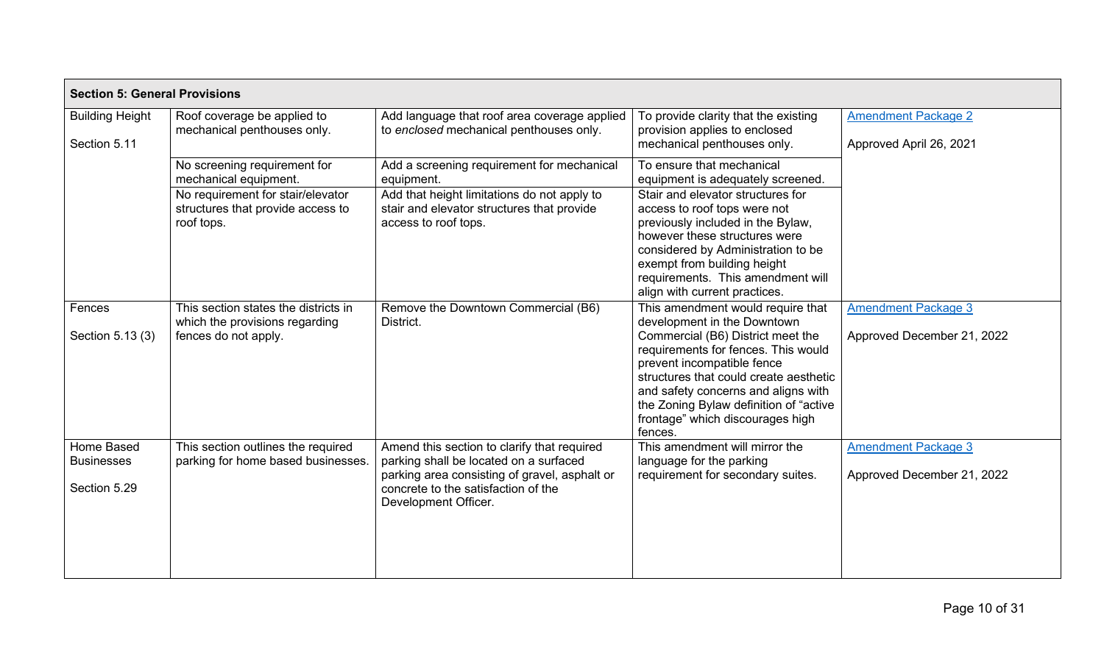| <b>Section 5: General Provisions</b>            |                                                                                                                                               |                                                                                                                                                                                                       |                                                                                                                                                                                                                                                                                                                                                      |                                                          |  |
|-------------------------------------------------|-----------------------------------------------------------------------------------------------------------------------------------------------|-------------------------------------------------------------------------------------------------------------------------------------------------------------------------------------------------------|------------------------------------------------------------------------------------------------------------------------------------------------------------------------------------------------------------------------------------------------------------------------------------------------------------------------------------------------------|----------------------------------------------------------|--|
| <b>Building Height</b><br>Section 5.11          | Roof coverage be applied to<br>mechanical penthouses only.                                                                                    | Add language that roof area coverage applied<br>to enclosed mechanical penthouses only.                                                                                                               | To provide clarity that the existing<br>provision applies to enclosed<br>mechanical penthouses only.                                                                                                                                                                                                                                                 | <b>Amendment Package 2</b><br>Approved April 26, 2021    |  |
|                                                 | No screening requirement for<br>mechanical equipment.<br>No requirement for stair/elevator<br>structures that provide access to<br>roof tops. | Add a screening requirement for mechanical<br>equipment.<br>Add that height limitations do not apply to<br>stair and elevator structures that provide<br>access to roof tops.                         | To ensure that mechanical<br>equipment is adequately screened.<br>Stair and elevator structures for<br>access to roof tops were not<br>previously included in the Bylaw,<br>however these structures were<br>considered by Administration to be<br>exempt from building height<br>requirements. This amendment will<br>align with current practices. |                                                          |  |
| Fences<br>Section 5.13 (3)                      | This section states the districts in<br>which the provisions regarding<br>fences do not apply.                                                | Remove the Downtown Commercial (B6)<br>District.                                                                                                                                                      | This amendment would require that<br>development in the Downtown<br>Commercial (B6) District meet the<br>requirements for fences. This would<br>prevent incompatible fence<br>structures that could create aesthetic<br>and safety concerns and aligns with<br>the Zoning Bylaw definition of "active<br>frontage" which discourages high<br>fences. | <b>Amendment Package 3</b><br>Approved December 21, 2022 |  |
| Home Based<br><b>Businesses</b><br>Section 5.29 | This section outlines the required<br>parking for home based businesses.                                                                      | Amend this section to clarify that required<br>parking shall be located on a surfaced<br>parking area consisting of gravel, asphalt or<br>concrete to the satisfaction of the<br>Development Officer. | This amendment will mirror the<br>language for the parking<br>requirement for secondary suites.                                                                                                                                                                                                                                                      | <b>Amendment Package 3</b><br>Approved December 21, 2022 |  |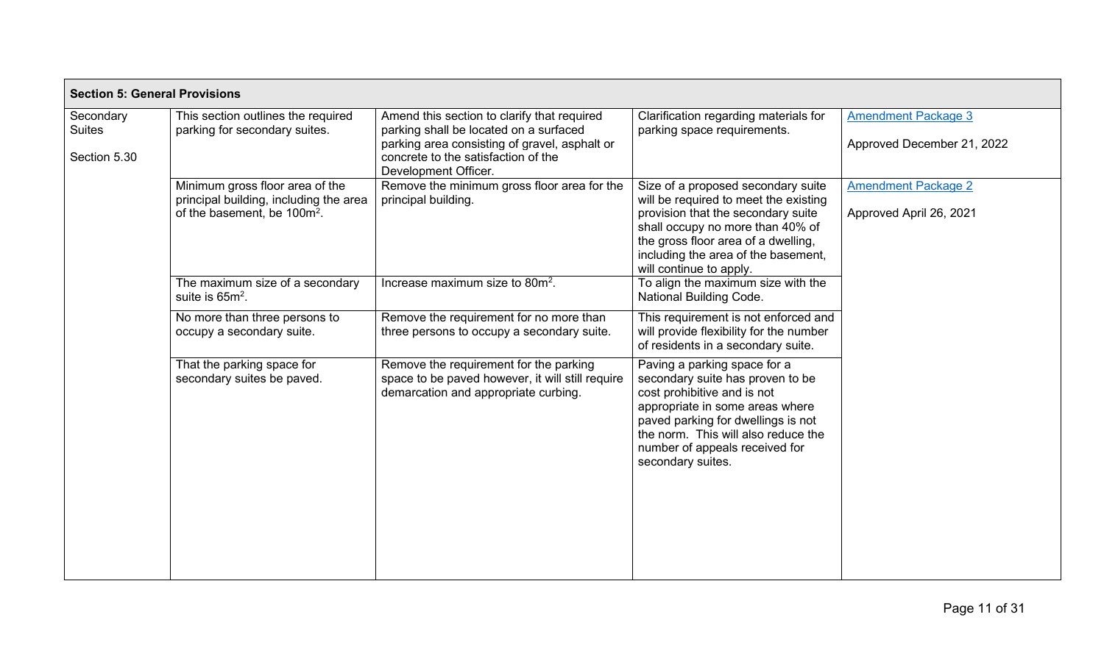| <b>Section 5: General Provisions</b>       |                                                                                                                      |                                                                                                                                                                                                       |                                                                                                                                                                                                                                                                        |                                                          |
|--------------------------------------------|----------------------------------------------------------------------------------------------------------------------|-------------------------------------------------------------------------------------------------------------------------------------------------------------------------------------------------------|------------------------------------------------------------------------------------------------------------------------------------------------------------------------------------------------------------------------------------------------------------------------|----------------------------------------------------------|
| Secondary<br><b>Suites</b><br>Section 5.30 | This section outlines the required<br>parking for secondary suites.                                                  | Amend this section to clarify that required<br>parking shall be located on a surfaced<br>parking area consisting of gravel, asphalt or<br>concrete to the satisfaction of the<br>Development Officer. | Clarification regarding materials for<br>parking space requirements.                                                                                                                                                                                                   | <b>Amendment Package 3</b><br>Approved December 21, 2022 |
|                                            | Minimum gross floor area of the<br>principal building, including the area<br>of the basement, be 100m <sup>2</sup> . | Remove the minimum gross floor area for the<br>principal building.                                                                                                                                    | Size of a proposed secondary suite<br>will be required to meet the existing<br>provision that the secondary suite<br>shall occupy no more than 40% of<br>the gross floor area of a dwelling,<br>including the area of the basement,<br>will continue to apply.         | <b>Amendment Package 2</b><br>Approved April 26, 2021    |
|                                            | The maximum size of a secondary<br>suite is $65m^2$ .                                                                | Increase maximum size to 80m <sup>2</sup> .                                                                                                                                                           | To align the maximum size with the<br><b>National Building Code.</b>                                                                                                                                                                                                   |                                                          |
|                                            | No more than three persons to<br>occupy a secondary suite.                                                           | Remove the requirement for no more than<br>three persons to occupy a secondary suite.                                                                                                                 | This requirement is not enforced and<br>will provide flexibility for the number<br>of residents in a secondary suite.                                                                                                                                                  |                                                          |
|                                            | That the parking space for<br>secondary suites be paved.                                                             | Remove the requirement for the parking<br>space to be paved however, it will still require<br>demarcation and appropriate curbing.                                                                    | Paving a parking space for a<br>secondary suite has proven to be<br>cost prohibitive and is not<br>appropriate in some areas where<br>paved parking for dwellings is not<br>the norm. This will also reduce the<br>number of appeals received for<br>secondary suites. |                                                          |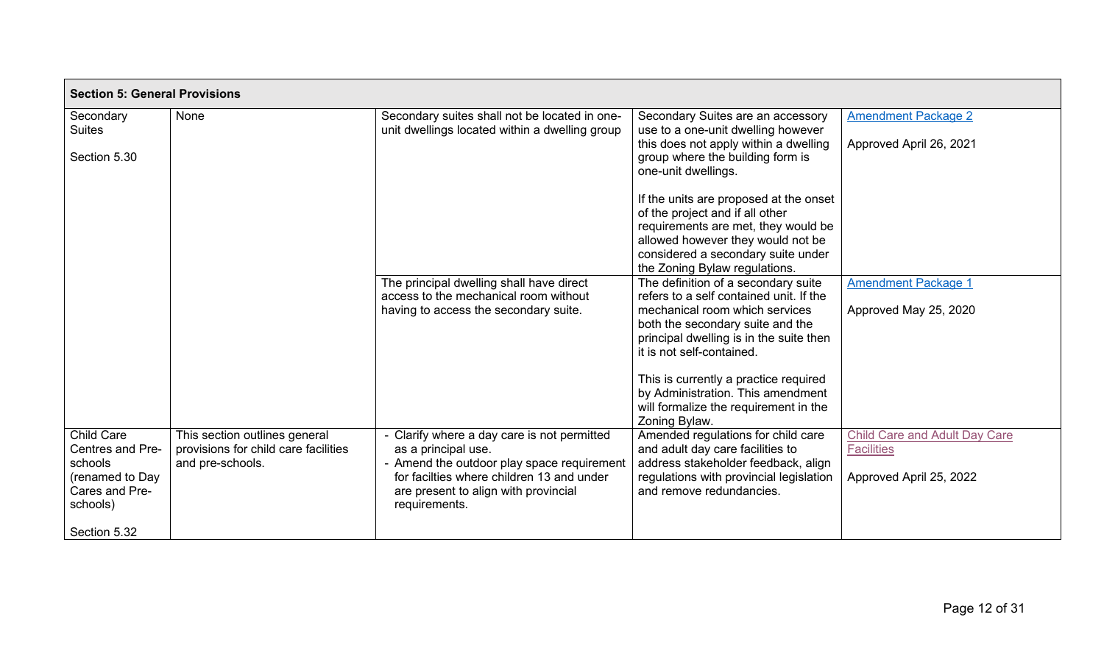| <b>Section 5: General Provisions</b>                                                              |                                                                                           |                                                                                                                                                                                                                    |                                                                                                                                                                                                                              |                                                                                      |
|---------------------------------------------------------------------------------------------------|-------------------------------------------------------------------------------------------|--------------------------------------------------------------------------------------------------------------------------------------------------------------------------------------------------------------------|------------------------------------------------------------------------------------------------------------------------------------------------------------------------------------------------------------------------------|--------------------------------------------------------------------------------------|
| Secondary<br><b>Suites</b><br>Section 5.30                                                        | None                                                                                      | Secondary suites shall not be located in one-<br>unit dwellings located within a dwelling group                                                                                                                    | Secondary Suites are an accessory<br>use to a one-unit dwelling however<br>this does not apply within a dwelling<br>group where the building form is<br>one-unit dwellings.<br>If the units are proposed at the onset        | <b>Amendment Package 2</b><br>Approved April 26, 2021                                |
|                                                                                                   |                                                                                           |                                                                                                                                                                                                                    | of the project and if all other<br>requirements are met, they would be<br>allowed however they would not be<br>considered a secondary suite under<br>the Zoning Bylaw regulations.                                           |                                                                                      |
|                                                                                                   |                                                                                           | The principal dwelling shall have direct<br>access to the mechanical room without<br>having to access the secondary suite.                                                                                         | The definition of a secondary suite<br>refers to a self contained unit. If the<br>mechanical room which services<br>both the secondary suite and the<br>principal dwelling is in the suite then<br>it is not self-contained. | <b>Amendment Package 1</b><br>Approved May 25, 2020                                  |
|                                                                                                   |                                                                                           |                                                                                                                                                                                                                    | This is currently a practice required<br>by Administration. This amendment<br>will formalize the requirement in the<br>Zoning Bylaw.                                                                                         |                                                                                      |
| <b>Child Care</b><br>Centres and Pre-<br>schools<br>(renamed to Day<br>Cares and Pre-<br>schools) | This section outlines general<br>provisions for child care facilities<br>and pre-schools. | Clarify where a day care is not permitted<br>as a principal use.<br>Amend the outdoor play space requirement<br>for facilties where children 13 and under<br>are present to align with provincial<br>requirements. | Amended regulations for child care<br>and adult day care facilities to<br>address stakeholder feedback, align<br>regulations with provincial legislation<br>and remove redundancies.                                         | <b>Child Care and Adult Day Care</b><br><b>Facilities</b><br>Approved April 25, 2022 |
| Section 5.32                                                                                      |                                                                                           |                                                                                                                                                                                                                    |                                                                                                                                                                                                                              |                                                                                      |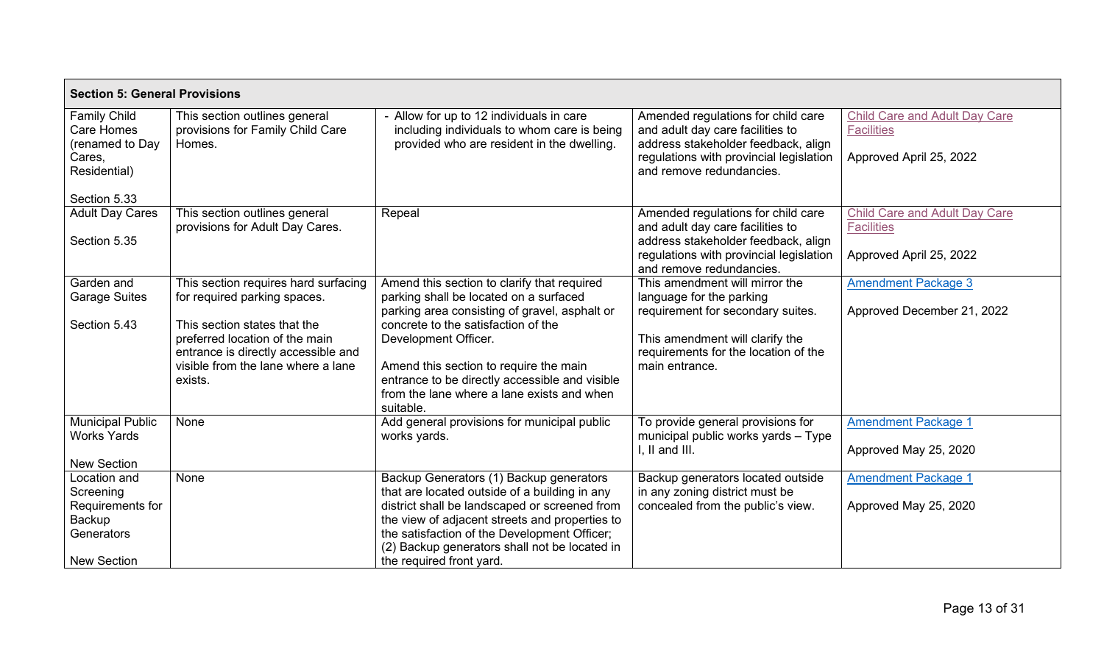| <b>Section 5: General Provisions</b>                                                        |                                                                                                                                                                                                                                |                                                                                                                                                                                                                                                                                                                                                              |                                                                                                                                                                                              |                                                                                      |
|---------------------------------------------------------------------------------------------|--------------------------------------------------------------------------------------------------------------------------------------------------------------------------------------------------------------------------------|--------------------------------------------------------------------------------------------------------------------------------------------------------------------------------------------------------------------------------------------------------------------------------------------------------------------------------------------------------------|----------------------------------------------------------------------------------------------------------------------------------------------------------------------------------------------|--------------------------------------------------------------------------------------|
| <b>Family Child</b><br>Care Homes<br>(renamed to Day<br>Cares,<br>Residential)              | This section outlines general<br>provisions for Family Child Care<br>Homes.                                                                                                                                                    | Allow for up to 12 individuals in care<br>including individuals to whom care is being<br>provided who are resident in the dwelling.                                                                                                                                                                                                                          | Amended regulations for child care<br>and adult day care facilities to<br>address stakeholder feedback, align<br>regulations with provincial legislation<br>and remove redundancies.         | <b>Child Care and Adult Day Care</b><br><b>Facilities</b><br>Approved April 25, 2022 |
| Section 5.33<br><b>Adult Day Cares</b><br>Section 5.35                                      | This section outlines general<br>provisions for Adult Day Cares.                                                                                                                                                               | Repeal                                                                                                                                                                                                                                                                                                                                                       | Amended regulations for child care<br>and adult day care facilities to<br>address stakeholder feedback, align<br>regulations with provincial legislation<br>and remove redundancies.         | <b>Child Care and Adult Day Care</b><br><b>Facilities</b><br>Approved April 25, 2022 |
| Garden and<br><b>Garage Suites</b><br>Section 5.43                                          | This section requires hard surfacing<br>for required parking spaces.<br>This section states that the<br>preferred location of the main<br>entrance is directly accessible and<br>visible from the lane where a lane<br>exists. | Amend this section to clarify that required<br>parking shall be located on a surfaced<br>parking area consisting of gravel, asphalt or<br>concrete to the satisfaction of the<br>Development Officer.<br>Amend this section to require the main<br>entrance to be directly accessible and visible<br>from the lane where a lane exists and when<br>suitable. | This amendment will mirror the<br>language for the parking<br>requirement for secondary suites.<br>This amendment will clarify the<br>requirements for the location of the<br>main entrance. | <b>Amendment Package 3</b><br>Approved December 21, 2022                             |
| <b>Municipal Public</b><br><b>Works Yards</b><br><b>New Section</b>                         | None                                                                                                                                                                                                                           | Add general provisions for municipal public<br>works yards.                                                                                                                                                                                                                                                                                                  | To provide general provisions for<br>municipal public works yards - Type<br>$I, II$ and $III.$                                                                                               | <b>Amendment Package 1</b><br>Approved May 25, 2020                                  |
| Location and<br>Screening<br>Requirements for<br>Backup<br>Generators<br><b>New Section</b> | None                                                                                                                                                                                                                           | Backup Generators (1) Backup generators<br>that are located outside of a building in any<br>district shall be landscaped or screened from<br>the view of adjacent streets and properties to<br>the satisfaction of the Development Officer;<br>(2) Backup generators shall not be located in<br>the required front yard.                                     | Backup generators located outside<br>in any zoning district must be<br>concealed from the public's view.                                                                                     | <b>Amendment Package 1</b><br>Approved May 25, 2020                                  |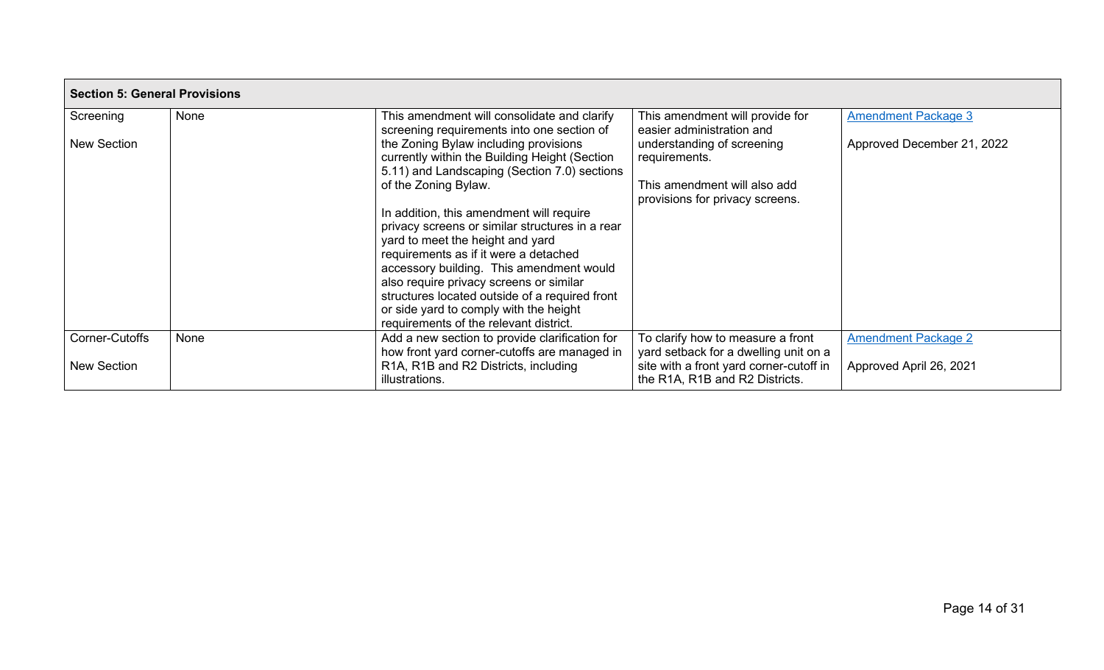| <b>Section 5: General Provisions</b> |      |                                                                                                                                                                |                                                                             |                            |  |
|--------------------------------------|------|----------------------------------------------------------------------------------------------------------------------------------------------------------------|-----------------------------------------------------------------------------|----------------------------|--|
| Screening                            | None | This amendment will consolidate and clarify<br>screening requirements into one section of                                                                      | This amendment will provide for<br>easier administration and                | <b>Amendment Package 3</b> |  |
| <b>New Section</b>                   |      | the Zoning Bylaw including provisions<br>currently within the Building Height (Section<br>5.11) and Landscaping (Section 7.0) sections<br>of the Zoning Bylaw. | understanding of screening<br>requirements.<br>This amendment will also add | Approved December 21, 2022 |  |
|                                      |      | In addition, this amendment will require<br>privacy screens or similar structures in a rear                                                                    | provisions for privacy screens.                                             |                            |  |
|                                      |      | yard to meet the height and yard<br>requirements as if it were a detached                                                                                      |                                                                             |                            |  |
|                                      |      | accessory building. This amendment would<br>also require privacy screens or similar                                                                            |                                                                             |                            |  |
|                                      |      | structures located outside of a required front<br>or side yard to comply with the height<br>requirements of the relevant district.                             |                                                                             |                            |  |
| Corner-Cutoffs                       | None | Add a new section to provide clarification for<br>how front yard corner-cutoffs are managed in                                                                 | To clarify how to measure a front<br>yard setback for a dwelling unit on a  | <b>Amendment Package 2</b> |  |
| <b>New Section</b>                   |      | R1A, R1B and R2 Districts, including<br>illustrations.                                                                                                         | site with a front yard corner-cutoff in<br>the R1A, R1B and R2 Districts.   | Approved April 26, 2021    |  |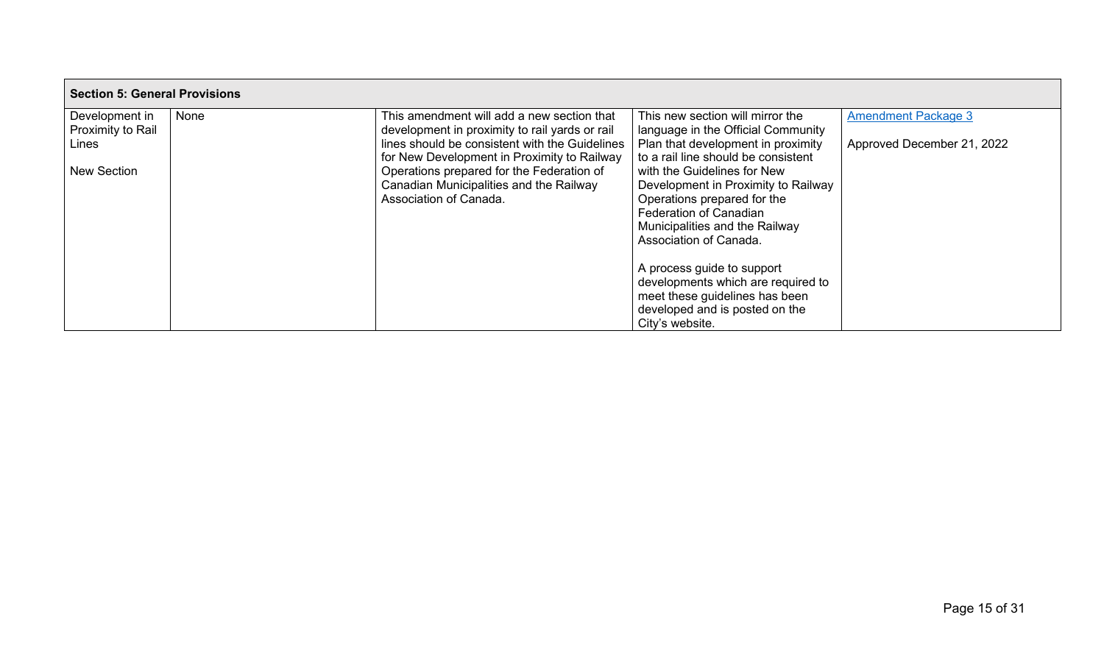| <b>Section 5: General Provisions</b> |      |                                                |                                     |                            |
|--------------------------------------|------|------------------------------------------------|-------------------------------------|----------------------------|
| Development in                       | None | This amendment will add a new section that     | This new section will mirror the    | <b>Amendment Package 3</b> |
| Proximity to Rail                    |      | development in proximity to rail yards or rail | language in the Official Community  |                            |
| Lines                                |      | lines should be consistent with the Guidelines | Plan that development in proximity  | Approved December 21, 2022 |
|                                      |      | for New Development in Proximity to Railway    | to a rail line should be consistent |                            |
| <b>New Section</b>                   |      | Operations prepared for the Federation of      | with the Guidelines for New         |                            |
|                                      |      | Canadian Municipalities and the Railway        | Development in Proximity to Railway |                            |
|                                      |      | Association of Canada.                         | Operations prepared for the         |                            |
|                                      |      |                                                | <b>Federation of Canadian</b>       |                            |
|                                      |      |                                                | Municipalities and the Railway      |                            |
|                                      |      |                                                | Association of Canada.              |                            |
|                                      |      |                                                |                                     |                            |
|                                      |      |                                                | A process guide to support          |                            |
|                                      |      |                                                | developments which are required to  |                            |
|                                      |      |                                                | meet these guidelines has been      |                            |
|                                      |      |                                                | developed and is posted on the      |                            |
|                                      |      |                                                | City's website.                     |                            |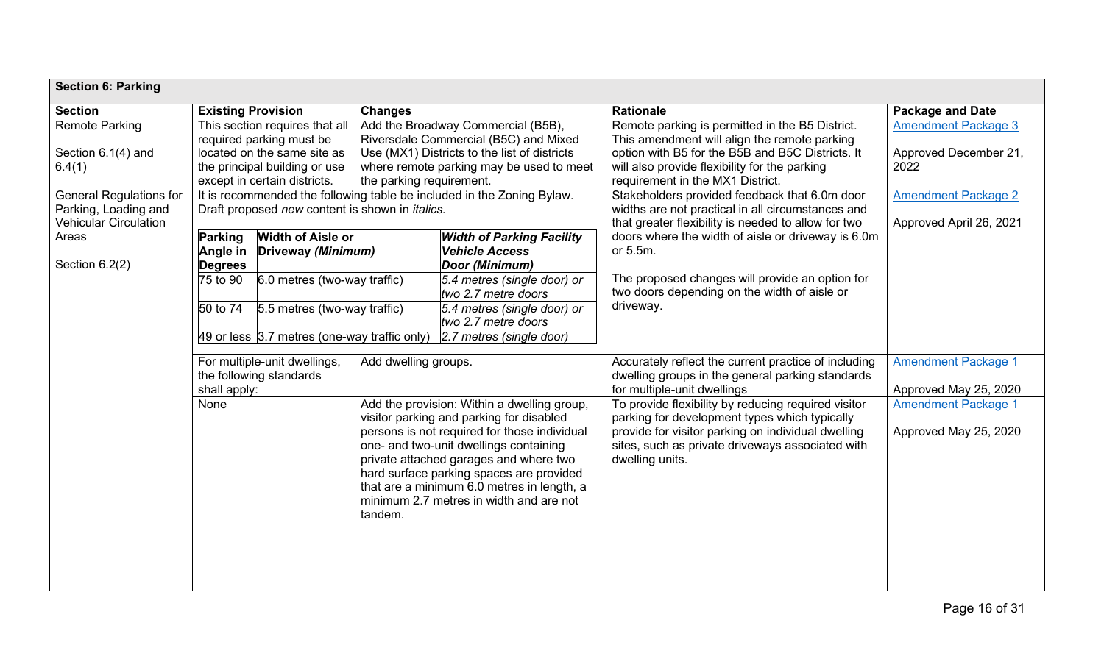| <b>Section 6: Parking</b>                                                              |                                                                                                                                                                                               |                                                                                                                            |                      |                                                                                                                                                                                                                                                                                                                                                                  |                                                                                                                                                                                                                                          |                                                             |
|----------------------------------------------------------------------------------------|-----------------------------------------------------------------------------------------------------------------------------------------------------------------------------------------------|----------------------------------------------------------------------------------------------------------------------------|----------------------|------------------------------------------------------------------------------------------------------------------------------------------------------------------------------------------------------------------------------------------------------------------------------------------------------------------------------------------------------------------|------------------------------------------------------------------------------------------------------------------------------------------------------------------------------------------------------------------------------------------|-------------------------------------------------------------|
| <b>Section</b>                                                                         | <b>Existing Provision</b>                                                                                                                                                                     |                                                                                                                            | <b>Changes</b>       |                                                                                                                                                                                                                                                                                                                                                                  | <b>Rationale</b>                                                                                                                                                                                                                         | <b>Package and Date</b>                                     |
| <b>Remote Parking</b><br>Section 6.1(4) and<br>6.4(1)                                  |                                                                                                                                                                                               | This section requires that all<br>required parking must be<br>located on the same site as<br>the principal building or use |                      | Add the Broadway Commercial (B5B),<br>Riversdale Commercial (B5C) and Mixed<br>Use (MX1) Districts to the list of districts<br>where remote parking may be used to meet                                                                                                                                                                                          | Remote parking is permitted in the B5 District.<br>This amendment will align the remote parking<br>option with B5 for the B5B and B5C Districts. It<br>will also provide flexibility for the parking<br>requirement in the MX1 District. | <b>Amendment Package 3</b><br>Approved December 21,<br>2022 |
| <b>General Regulations for</b><br>Parking, Loading and<br><b>Vehicular Circulation</b> | except in certain districts.<br>the parking requirement.<br>It is recommended the following table be included in the Zoning Bylaw.<br>Draft proposed new content is shown in <i>italics</i> . |                                                                                                                            |                      |                                                                                                                                                                                                                                                                                                                                                                  | Stakeholders provided feedback that 6.0m door<br>widths are not practical in all circumstances and<br>that greater flexibility is needed to allow for two                                                                                | <b>Amendment Package 2</b><br>Approved April 26, 2021       |
| Areas<br>Section 6.2(2)                                                                | Parking<br>Angle in<br><b>Degrees</b>                                                                                                                                                         | <b>Width of Aisle or</b><br>Driveway (Minimum)                                                                             |                      | <b>Width of Parking Facility</b><br><b>Vehicle Access</b><br>Door (Minimum)                                                                                                                                                                                                                                                                                      | doors where the width of aisle or driveway is 6.0m<br>or 5.5m.                                                                                                                                                                           |                                                             |
|                                                                                        | 75 to 90<br>50 to 74                                                                                                                                                                          | 6.0 metres (two-way traffic)<br>5.5 metres (two-way traffic)                                                               |                      | 5.4 metres (single door) or<br>two 2.7 metre doors<br>5.4 metres (single door) or                                                                                                                                                                                                                                                                                | The proposed changes will provide an option for<br>two doors depending on the width of aisle or<br>driveway.                                                                                                                             |                                                             |
|                                                                                        | two 2.7 metre doors<br>$49$ or less $3.7$ metres (one-way traffic only)<br>2.7 metres (single door)                                                                                           |                                                                                                                            |                      |                                                                                                                                                                                                                                                                                                                                                                  |                                                                                                                                                                                                                                          |                                                             |
|                                                                                        | shall apply:                                                                                                                                                                                  | For multiple-unit dwellings,<br>the following standards                                                                    | Add dwelling groups. |                                                                                                                                                                                                                                                                                                                                                                  | Accurately reflect the current practice of including<br>dwelling groups in the general parking standards<br>for multiple-unit dwellings                                                                                                  | <b>Amendment Package 1</b><br>Approved May 25, 2020         |
|                                                                                        | None                                                                                                                                                                                          |                                                                                                                            | tandem.              | Add the provision: Within a dwelling group,<br>visitor parking and parking for disabled<br>persons is not required for those individual<br>one- and two-unit dwellings containing<br>private attached garages and where two<br>hard surface parking spaces are provided<br>that are a minimum 6.0 metres in length, a<br>minimum 2.7 metres in width and are not | To provide flexibility by reducing required visitor<br>parking for development types which typically<br>provide for visitor parking on individual dwelling<br>sites, such as private driveways associated with<br>dwelling units.        | <b>Amendment Package 1</b><br>Approved May 25, 2020         |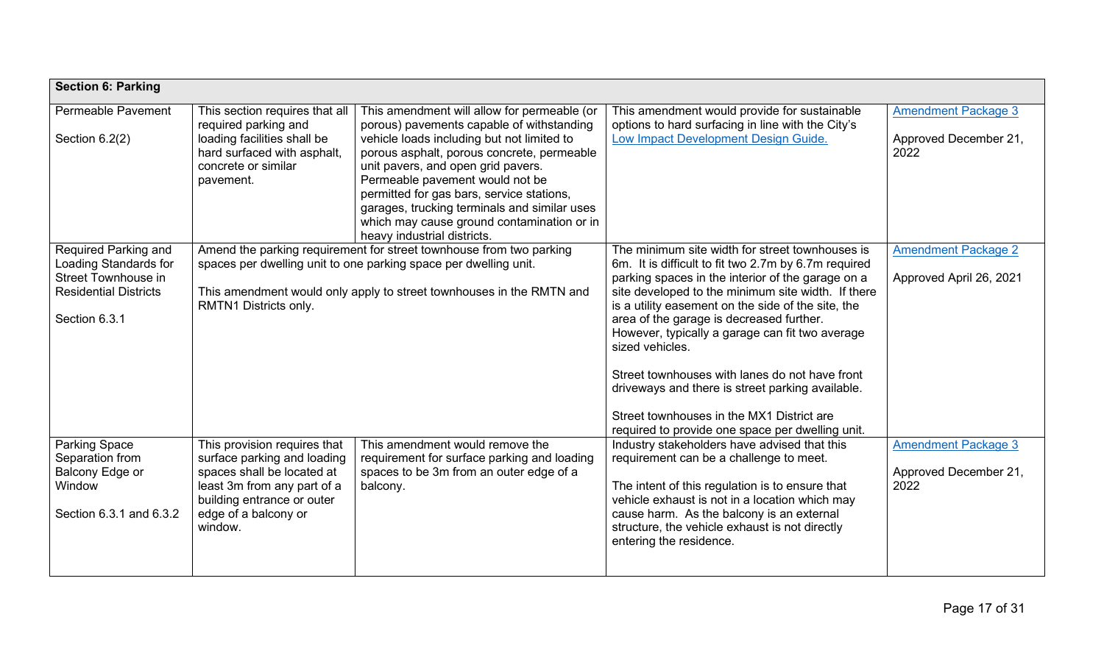| <b>Section 6: Parking</b>                                                                                                    |                                                                                                                                                                                                                                          |                                                                                                                                                                                                                                                                                                                                                                                          |                                                                                                                                                                                                                                                                                                                                                                                                                                                                                                                                                                                                   |                                                             |
|------------------------------------------------------------------------------------------------------------------------------|------------------------------------------------------------------------------------------------------------------------------------------------------------------------------------------------------------------------------------------|------------------------------------------------------------------------------------------------------------------------------------------------------------------------------------------------------------------------------------------------------------------------------------------------------------------------------------------------------------------------------------------|---------------------------------------------------------------------------------------------------------------------------------------------------------------------------------------------------------------------------------------------------------------------------------------------------------------------------------------------------------------------------------------------------------------------------------------------------------------------------------------------------------------------------------------------------------------------------------------------------|-------------------------------------------------------------|
| Permeable Pavement                                                                                                           | This section requires that all                                                                                                                                                                                                           | This amendment will allow for permeable (or                                                                                                                                                                                                                                                                                                                                              | This amendment would provide for sustainable                                                                                                                                                                                                                                                                                                                                                                                                                                                                                                                                                      | <b>Amendment Package 3</b>                                  |
| Section $6.2(2)$                                                                                                             | required parking and<br>loading facilities shall be<br>hard surfaced with asphalt,<br>concrete or similar<br>pavement.                                                                                                                   | porous) pavements capable of withstanding<br>vehicle loads including but not limited to<br>porous asphalt, porous concrete, permeable<br>unit pavers, and open grid pavers.<br>Permeable pavement would not be<br>permitted for gas bars, service stations,<br>garages, trucking terminals and similar uses<br>which may cause ground contamination or in<br>heavy industrial districts. | options to hard surfacing in line with the City's<br>Low Impact Development Design Guide.                                                                                                                                                                                                                                                                                                                                                                                                                                                                                                         | Approved December 21,<br>2022                               |
| Required Parking and<br><b>Loading Standards for</b><br>Street Townhouse in<br><b>Residential Districts</b><br>Section 6.3.1 | Amend the parking requirement for street townhouse from two parking<br>spaces per dwelling unit to one parking space per dwelling unit.<br>This amendment would only apply to street townhouses in the RMTN and<br>RMTN1 Districts only. |                                                                                                                                                                                                                                                                                                                                                                                          | The minimum site width for street townhouses is<br>6m. It is difficult to fit two 2.7m by 6.7m required<br>parking spaces in the interior of the garage on a<br>site developed to the minimum site width. If there<br>is a utility easement on the side of the site, the<br>area of the garage is decreased further.<br>However, typically a garage can fit two average<br>sized vehicles.<br>Street townhouses with lanes do not have front<br>driveways and there is street parking available.<br>Street townhouses in the MX1 District are<br>required to provide one space per dwelling unit. | <b>Amendment Package 2</b><br>Approved April 26, 2021       |
| <b>Parking Space</b><br>Separation from<br>Balcony Edge or<br>Window<br>Section 6.3.1 and 6.3.2                              | This provision requires that<br>surface parking and loading<br>spaces shall be located at<br>least 3m from any part of a<br>building entrance or outer<br>edge of a balcony or<br>window.                                                | This amendment would remove the<br>requirement for surface parking and loading<br>spaces to be 3m from an outer edge of a<br>balcony.                                                                                                                                                                                                                                                    | Industry stakeholders have advised that this<br>requirement can be a challenge to meet.<br>The intent of this regulation is to ensure that<br>vehicle exhaust is not in a location which may<br>cause harm. As the balcony is an external<br>structure, the vehicle exhaust is not directly<br>entering the residence.                                                                                                                                                                                                                                                                            | <b>Amendment Package 3</b><br>Approved December 21,<br>2022 |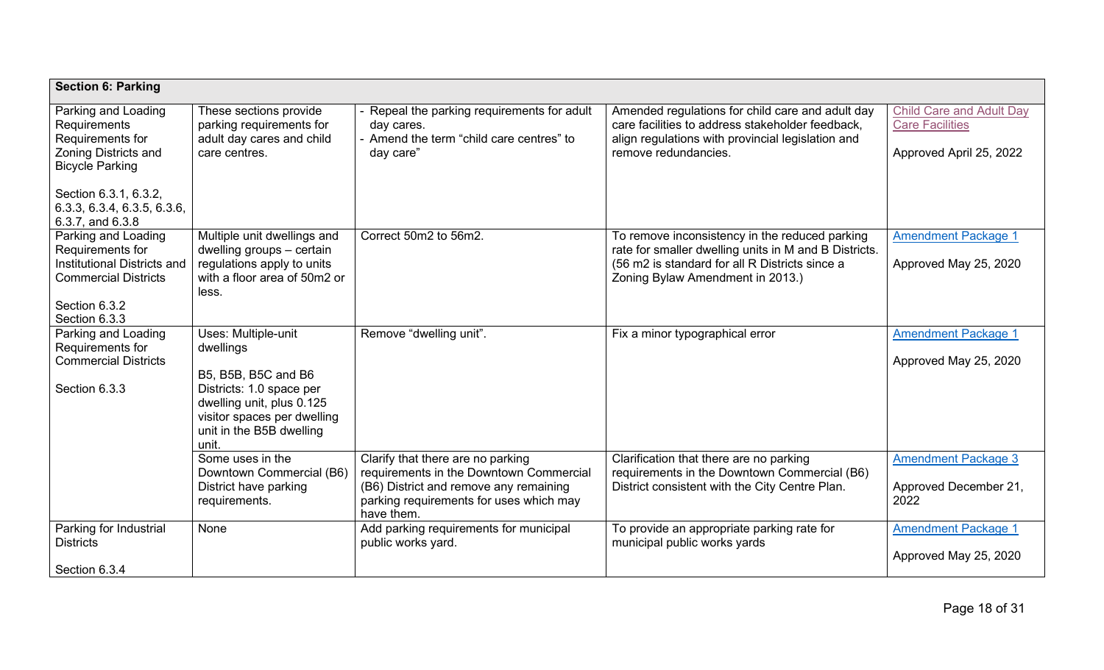| <b>Section 6: Parking</b>                                                                                                                                                                    |                                                                                                                                                                                      |                                                                                                                                                                                 |                                                                                                                                                                                               |                                                                                      |
|----------------------------------------------------------------------------------------------------------------------------------------------------------------------------------------------|--------------------------------------------------------------------------------------------------------------------------------------------------------------------------------------|---------------------------------------------------------------------------------------------------------------------------------------------------------------------------------|-----------------------------------------------------------------------------------------------------------------------------------------------------------------------------------------------|--------------------------------------------------------------------------------------|
| Parking and Loading<br>Requirements<br>Requirements for<br><b>Zoning Districts and</b><br><b>Bicycle Parking</b><br>Section 6.3.1, 6.3.2,<br>6.3.3, 6.3.4, 6.3.5, 6.3.6,<br>6.3.7, and 6.3.8 | These sections provide<br>parking requirements for<br>adult day cares and child<br>care centres.                                                                                     | - Repeal the parking requirements for adult<br>day cares.<br>- Amend the term "child care centres" to<br>day care"                                                              | Amended regulations for child care and adult day<br>care facilities to address stakeholder feedback,<br>align regulations with provincial legislation and<br>remove redundancies.             | <b>Child Care and Adult Day</b><br><b>Care Facilities</b><br>Approved April 25, 2022 |
| Parking and Loading<br>Requirements for<br>Institutional Districts and<br><b>Commercial Districts</b><br>Section 6.3.2<br>Section 6.3.3                                                      | Multiple unit dwellings and<br>dwelling groups - certain<br>regulations apply to units<br>with a floor area of 50m2 or<br>less.                                                      | Correct 50m2 to 56m2.                                                                                                                                                           | To remove inconsistency in the reduced parking<br>rate for smaller dwelling units in M and B Districts.<br>(56 m2 is standard for all R Districts since a<br>Zoning Bylaw Amendment in 2013.) | <b>Amendment Package 1</b><br>Approved May 25, 2020                                  |
| Parking and Loading<br>Requirements for<br><b>Commercial Districts</b><br>Section 6.3.3                                                                                                      | Uses: Multiple-unit<br>dwellings<br>B5, B5B, B5C and B6<br>Districts: 1.0 space per<br>dwelling unit, plus 0.125<br>visitor spaces per dwelling<br>unit in the B5B dwelling<br>unit. | Remove "dwelling unit".                                                                                                                                                         | Fix a minor typographical error                                                                                                                                                               | <b>Amendment Package 1</b><br>Approved May 25, 2020                                  |
|                                                                                                                                                                                              | Some uses in the<br>Downtown Commercial (B6)<br>District have parking<br>requirements.                                                                                               | Clarify that there are no parking<br>requirements in the Downtown Commercial<br>(B6) District and remove any remaining<br>parking requirements for uses which may<br>have them. | Clarification that there are no parking<br>requirements in the Downtown Commercial (B6)<br>District consistent with the City Centre Plan.                                                     | <b>Amendment Package 3</b><br>Approved December 21,<br>2022                          |
| Parking for Industrial<br><b>Districts</b><br>Section 6.3.4                                                                                                                                  | None                                                                                                                                                                                 | Add parking requirements for municipal<br>public works yard.                                                                                                                    | To provide an appropriate parking rate for<br>municipal public works yards                                                                                                                    | <b>Amendment Package 1</b><br>Approved May 25, 2020                                  |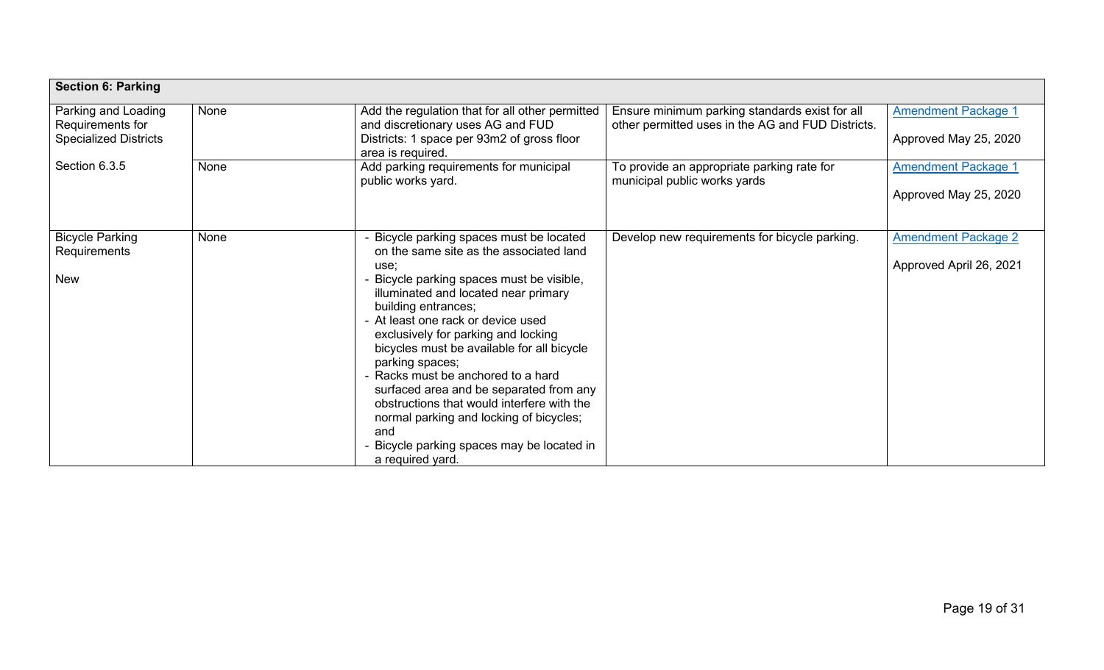| <b>Section 6: Parking</b>                                               |      |                                                                                                                                                                                                                                                                                                                                                                                                                                                                                                                                                                                                      |                                                                                                     |                                                       |  |
|-------------------------------------------------------------------------|------|------------------------------------------------------------------------------------------------------------------------------------------------------------------------------------------------------------------------------------------------------------------------------------------------------------------------------------------------------------------------------------------------------------------------------------------------------------------------------------------------------------------------------------------------------------------------------------------------------|-----------------------------------------------------------------------------------------------------|-------------------------------------------------------|--|
| Parking and Loading<br>Requirements for<br><b>Specialized Districts</b> | None | Add the regulation that for all other permitted<br>and discretionary uses AG and FUD<br>Districts: 1 space per 93m2 of gross floor<br>area is required.                                                                                                                                                                                                                                                                                                                                                                                                                                              | Ensure minimum parking standards exist for all<br>other permitted uses in the AG and FUD Districts. | <b>Amendment Package 1</b><br>Approved May 25, 2020   |  |
| Section 6.3.5                                                           | None | Add parking requirements for municipal<br>public works yard.                                                                                                                                                                                                                                                                                                                                                                                                                                                                                                                                         | To provide an appropriate parking rate for<br>municipal public works yards                          | <b>Amendment Package 1</b><br>Approved May 25, 2020   |  |
| <b>Bicycle Parking</b><br>Requirements<br><b>New</b>                    | None | - Bicycle parking spaces must be located<br>on the same site as the associated land<br>use;<br>Bicycle parking spaces must be visible,<br>illuminated and located near primary<br>building entrances;<br>- At least one rack or device used<br>exclusively for parking and locking<br>bicycles must be available for all bicycle<br>parking spaces;<br>- Racks must be anchored to a hard<br>surfaced area and be separated from any<br>obstructions that would interfere with the<br>normal parking and locking of bicycles;<br>and<br>Bicycle parking spaces may be located in<br>a required yard. | Develop new requirements for bicycle parking.                                                       | <b>Amendment Package 2</b><br>Approved April 26, 2021 |  |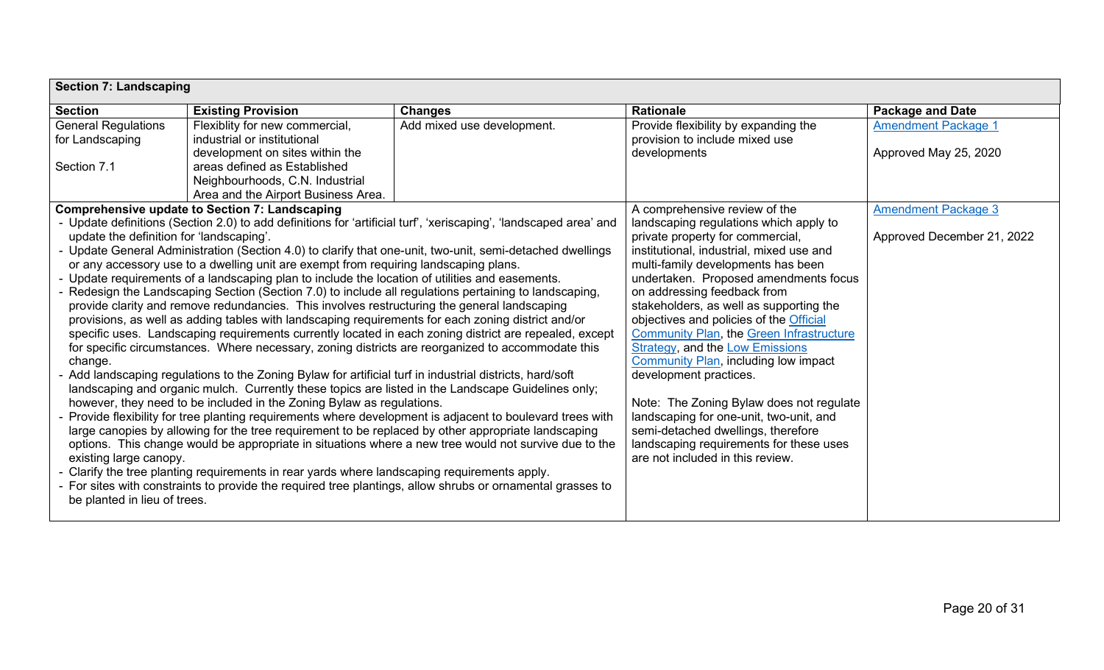|                                                                                                       | <b>Section 7: Landscaping</b>                                                                            |                                                                                                                                                                                                             |                                                                                           |                            |  |  |
|-------------------------------------------------------------------------------------------------------|----------------------------------------------------------------------------------------------------------|-------------------------------------------------------------------------------------------------------------------------------------------------------------------------------------------------------------|-------------------------------------------------------------------------------------------|----------------------------|--|--|
| <b>Section</b>                                                                                        | <b>Existing Provision</b>                                                                                | <b>Changes</b>                                                                                                                                                                                              | <b>Rationale</b>                                                                          | <b>Package and Date</b>    |  |  |
| <b>General Regulations</b>                                                                            | Flexiblity for new commercial,                                                                           | Add mixed use development.                                                                                                                                                                                  | Provide flexibility by expanding the                                                      | <b>Amendment Package 1</b> |  |  |
| for Landscaping                                                                                       | industrial or institutional                                                                              |                                                                                                                                                                                                             | provision to include mixed use                                                            |                            |  |  |
|                                                                                                       | development on sites within the                                                                          |                                                                                                                                                                                                             | developments                                                                              | Approved May 25, 2020      |  |  |
| Section 7.1                                                                                           | areas defined as Established                                                                             |                                                                                                                                                                                                             |                                                                                           |                            |  |  |
|                                                                                                       | Neighbourhoods, C.N. Industrial                                                                          |                                                                                                                                                                                                             |                                                                                           |                            |  |  |
|                                                                                                       | Area and the Airport Business Area.                                                                      |                                                                                                                                                                                                             |                                                                                           |                            |  |  |
|                                                                                                       | <b>Comprehensive update to Section 7: Landscaping</b>                                                    |                                                                                                                                                                                                             | A comprehensive review of the                                                             | <b>Amendment Package 3</b> |  |  |
|                                                                                                       |                                                                                                          | - Update definitions (Section 2.0) to add definitions for 'artificial turf', 'xeriscaping', 'landscaped area' and                                                                                           | landscaping regulations which apply to                                                    |                            |  |  |
| update the definition for 'landscaping'.                                                              |                                                                                                          |                                                                                                                                                                                                             | private property for commercial,                                                          | Approved December 21, 2022 |  |  |
|                                                                                                       |                                                                                                          | - Update General Administration (Section 4.0) to clarify that one-unit, two-unit, semi-detached dwellings                                                                                                   | institutional, industrial, mixed use and                                                  |                            |  |  |
|                                                                                                       | or any accessory use to a dwelling unit are exempt from requiring landscaping plans.                     |                                                                                                                                                                                                             | multi-family developments has been                                                        |                            |  |  |
|                                                                                                       | - Update requirements of a landscaping plan to include the location of utilities and easements.          |                                                                                                                                                                                                             | undertaken. Proposed amendments focus                                                     |                            |  |  |
|                                                                                                       |                                                                                                          | - Redesign the Landscaping Section (Section 7.0) to include all regulations pertaining to landscaping,                                                                                                      | on addressing feedback from                                                               |                            |  |  |
|                                                                                                       | provide clarity and remove redundancies. This involves restructuring the general landscaping             |                                                                                                                                                                                                             | stakeholders, as well as supporting the                                                   |                            |  |  |
|                                                                                                       | provisions, as well as adding tables with landscaping requirements for each zoning district and/or       |                                                                                                                                                                                                             | objectives and policies of the Official                                                   |                            |  |  |
|                                                                                                       |                                                                                                          | specific uses. Landscaping requirements currently located in each zoning district are repealed, except<br>for specific circumstances. Where necessary, zoning districts are reorganized to accommodate this | <b>Community Plan, the Green Infrastructure</b><br><b>Strategy, and the Low Emissions</b> |                            |  |  |
| change.                                                                                               |                                                                                                          |                                                                                                                                                                                                             | <b>Community Plan, including low impact</b>                                               |                            |  |  |
|                                                                                                       | - Add landscaping regulations to the Zoning Bylaw for artificial turf in industrial districts, hard/soft |                                                                                                                                                                                                             | development practices.                                                                    |                            |  |  |
|                                                                                                       |                                                                                                          | landscaping and organic mulch. Currently these topics are listed in the Landscape Guidelines only;                                                                                                          |                                                                                           |                            |  |  |
|                                                                                                       | however, they need to be included in the Zoning Bylaw as regulations.                                    |                                                                                                                                                                                                             | Note: The Zoning Bylaw does not regulate                                                  |                            |  |  |
|                                                                                                       |                                                                                                          | - Provide flexibility for tree planting requirements where development is adjacent to boulevard trees with                                                                                                  | landscaping for one-unit, two-unit, and                                                   |                            |  |  |
|                                                                                                       |                                                                                                          | large canopies by allowing for the tree requirement to be replaced by other appropriate landscaping                                                                                                         | semi-detached dwellings, therefore                                                        |                            |  |  |
| options. This change would be appropriate in situations where a new tree would not survive due to the |                                                                                                          |                                                                                                                                                                                                             | landscaping requirements for these uses                                                   |                            |  |  |
| existing large canopy.                                                                                |                                                                                                          |                                                                                                                                                                                                             | are not included in this review.                                                          |                            |  |  |
|                                                                                                       | - Clarify the tree planting requirements in rear yards where landscaping requirements apply.             |                                                                                                                                                                                                             |                                                                                           |                            |  |  |
|                                                                                                       |                                                                                                          | - For sites with constraints to provide the required tree plantings, allow shrubs or ornamental grasses to                                                                                                  |                                                                                           |                            |  |  |
| be planted in lieu of trees.                                                                          |                                                                                                          |                                                                                                                                                                                                             |                                                                                           |                            |  |  |
|                                                                                                       |                                                                                                          |                                                                                                                                                                                                             |                                                                                           |                            |  |  |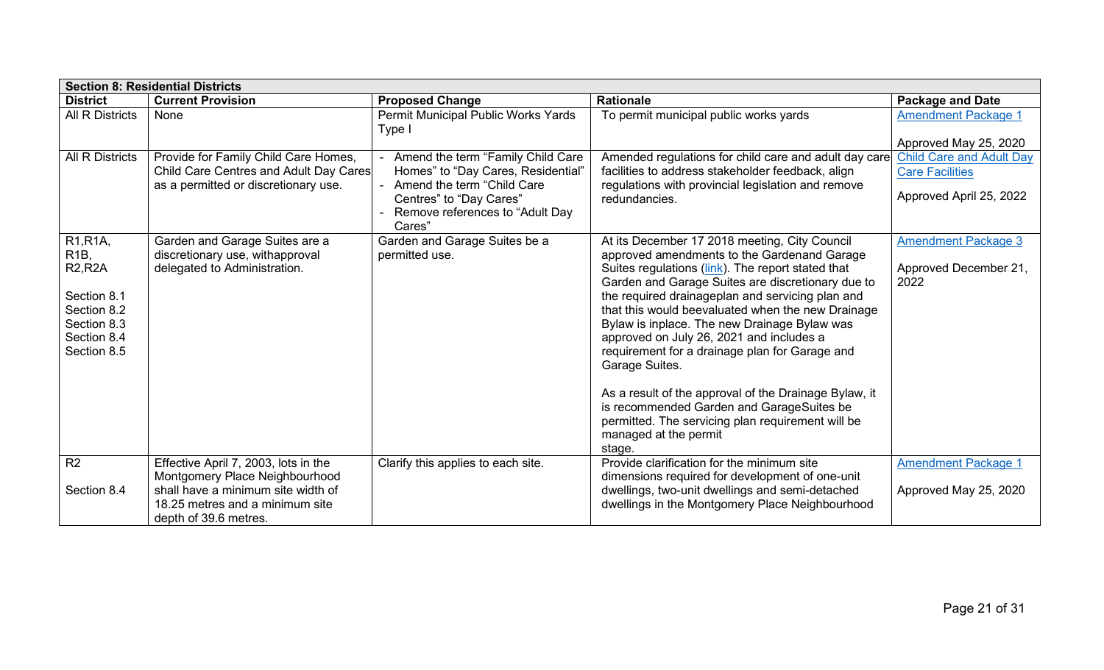|                                                                                                                                          | <b>Section 8: Residential Districts</b>                                                                                                                                  |                                                                                                                                                                               |                                                                                                                                                                                                                                                                                                                                                                                                                                                                                                                                                                                                                                                                               |                                                                                      |  |  |
|------------------------------------------------------------------------------------------------------------------------------------------|--------------------------------------------------------------------------------------------------------------------------------------------------------------------------|-------------------------------------------------------------------------------------------------------------------------------------------------------------------------------|-------------------------------------------------------------------------------------------------------------------------------------------------------------------------------------------------------------------------------------------------------------------------------------------------------------------------------------------------------------------------------------------------------------------------------------------------------------------------------------------------------------------------------------------------------------------------------------------------------------------------------------------------------------------------------|--------------------------------------------------------------------------------------|--|--|
| <b>District</b>                                                                                                                          | <b>Current Provision</b>                                                                                                                                                 | <b>Proposed Change</b>                                                                                                                                                        | <b>Rationale</b>                                                                                                                                                                                                                                                                                                                                                                                                                                                                                                                                                                                                                                                              | <b>Package and Date</b>                                                              |  |  |
| <b>All R Districts</b>                                                                                                                   | None                                                                                                                                                                     | Permit Municipal Public Works Yards<br>Type I                                                                                                                                 | To permit municipal public works yards                                                                                                                                                                                                                                                                                                                                                                                                                                                                                                                                                                                                                                        | <b>Amendment Package 1</b><br>Approved May 25, 2020                                  |  |  |
| <b>All R Districts</b>                                                                                                                   | Provide for Family Child Care Homes,<br>Child Care Centres and Adult Day Cares<br>as a permitted or discretionary use.                                                   | Amend the term "Family Child Care<br>Homes" to "Day Cares, Residential"<br>Amend the term "Child Care<br>Centres" to "Day Cares"<br>Remove references to "Adult Day<br>Cares" | Amended regulations for child care and adult day care<br>facilities to address stakeholder feedback, align<br>regulations with provincial legislation and remove<br>redundancies.                                                                                                                                                                                                                                                                                                                                                                                                                                                                                             | <b>Child Care and Adult Day</b><br><b>Care Facilities</b><br>Approved April 25, 2022 |  |  |
| R <sub>1</sub> ,R <sub>1</sub> A,<br>$R1B$ ,<br><b>R2,R2A</b><br>Section 8.1<br>Section 8.2<br>Section 8.3<br>Section 8.4<br>Section 8.5 | Garden and Garage Suites are a<br>discretionary use, withapproval<br>delegated to Administration.                                                                        | Garden and Garage Suites be a<br>permitted use.                                                                                                                               | At its December 17 2018 meeting, City Council<br>approved amendments to the Gardenand Garage<br>Suites regulations (link). The report stated that<br>Garden and Garage Suites are discretionary due to<br>the required drainageplan and servicing plan and<br>that this would beevaluated when the new Drainage<br>Bylaw is inplace. The new Drainage Bylaw was<br>approved on July 26, 2021 and includes a<br>requirement for a drainage plan for Garage and<br>Garage Suites.<br>As a result of the approval of the Drainage Bylaw, it<br>is recommended Garden and GarageSuites be<br>permitted. The servicing plan requirement will be<br>managed at the permit<br>stage. | <b>Amendment Package 3</b><br>Approved December 21,<br>2022                          |  |  |
| R <sub>2</sub><br>Section 8.4                                                                                                            | Effective April 7, 2003, lots in the<br>Montgomery Place Neighbourhood<br>shall have a minimum site width of<br>18.25 metres and a minimum site<br>depth of 39.6 metres. | Clarify this applies to each site.                                                                                                                                            | Provide clarification for the minimum site<br>dimensions required for development of one-unit<br>dwellings, two-unit dwellings and semi-detached<br>dwellings in the Montgomery Place Neighbourhood                                                                                                                                                                                                                                                                                                                                                                                                                                                                           | <b>Amendment Package 1</b><br>Approved May 25, 2020                                  |  |  |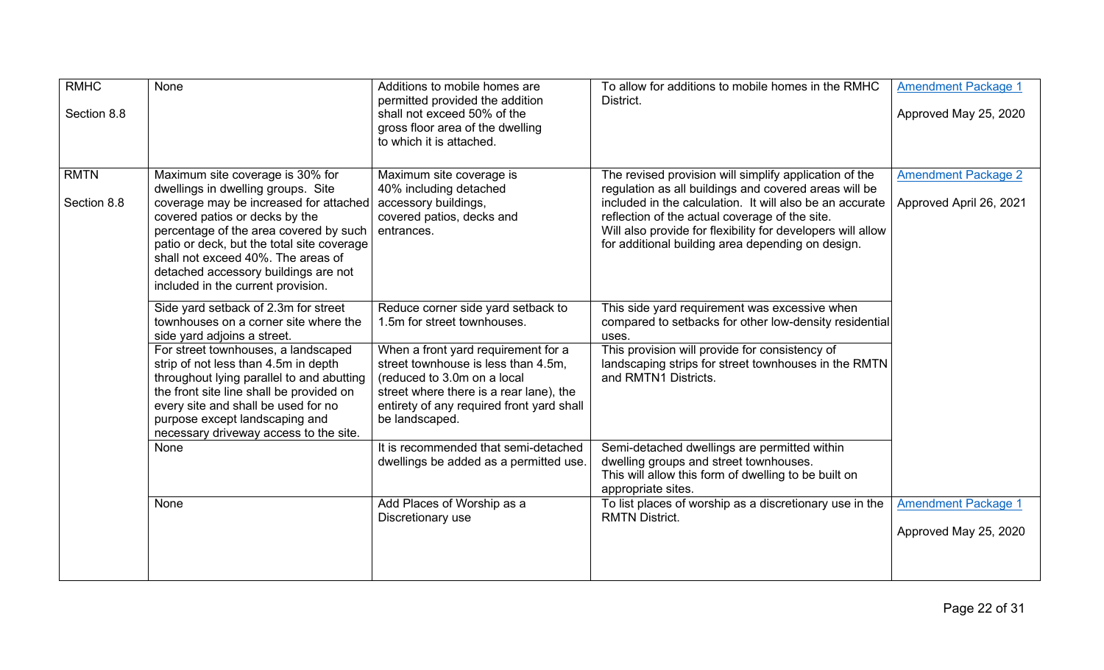| <b>RMHC</b><br>Section 8.8 | None                                                                                                                                                                                                                                                                                                                                                           | Additions to mobile homes are<br>permitted provided the addition<br>shall not exceed 50% of the<br>gross floor area of the dwelling<br>to which it is attached.                                                     | To allow for additions to mobile homes in the RMHC<br>District.                                                                                                                                                                                                                                                                                   | <b>Amendment Package 1</b><br>Approved May 25, 2020 |
|----------------------------|----------------------------------------------------------------------------------------------------------------------------------------------------------------------------------------------------------------------------------------------------------------------------------------------------------------------------------------------------------------|---------------------------------------------------------------------------------------------------------------------------------------------------------------------------------------------------------------------|---------------------------------------------------------------------------------------------------------------------------------------------------------------------------------------------------------------------------------------------------------------------------------------------------------------------------------------------------|-----------------------------------------------------|
| <b>RMTN</b><br>Section 8.8 | Maximum site coverage is 30% for<br>dwellings in dwelling groups. Site<br>coverage may be increased for attached<br>covered patios or decks by the<br>percentage of the area covered by such<br>patio or deck, but the total site coverage<br>shall not exceed 40%. The areas of<br>detached accessory buildings are not<br>included in the current provision. | Maximum site coverage is<br>40% including detached<br>accessory buildings,<br>covered patios, decks and<br>entrances.                                                                                               | The revised provision will simplify application of the<br>regulation as all buildings and covered areas will be<br>included in the calculation. It will also be an accurate<br>reflection of the actual coverage of the site.<br>Will also provide for flexibility for developers will allow<br>for additional building area depending on design. | Amendment Package 2<br>Approved April 26, 2021      |
|                            | Side yard setback of 2.3m for street<br>townhouses on a corner site where the<br>side yard adjoins a street.                                                                                                                                                                                                                                                   | Reduce corner side yard setback to<br>1.5m for street townhouses.                                                                                                                                                   | This side yard requirement was excessive when<br>compared to setbacks for other low-density residential<br>uses.                                                                                                                                                                                                                                  |                                                     |
|                            | For street townhouses, a landscaped<br>strip of not less than 4.5m in depth<br>throughout lying parallel to and abutting<br>the front site line shall be provided on<br>every site and shall be used for no<br>purpose except landscaping and<br>necessary driveway access to the site.                                                                        | When a front yard requirement for a<br>street townhouse is less than 4.5m,<br>(reduced to 3.0m on a local<br>street where there is a rear lane), the<br>entirety of any required front yard shall<br>be landscaped. | This provision will provide for consistency of<br>landscaping strips for street townhouses in the RMTN<br>and RMTN1 Districts.                                                                                                                                                                                                                    |                                                     |
|                            | None                                                                                                                                                                                                                                                                                                                                                           | It is recommended that semi-detached<br>dwellings be added as a permitted use.                                                                                                                                      | Semi-detached dwellings are permitted within<br>dwelling groups and street townhouses.<br>This will allow this form of dwelling to be built on<br>appropriate sites.                                                                                                                                                                              |                                                     |
|                            | None                                                                                                                                                                                                                                                                                                                                                           | Add Places of Worship as a<br>Discretionary use                                                                                                                                                                     | To list places of worship as a discretionary use in the<br><b>RMTN District.</b>                                                                                                                                                                                                                                                                  | <b>Amendment Package 1</b><br>Approved May 25, 2020 |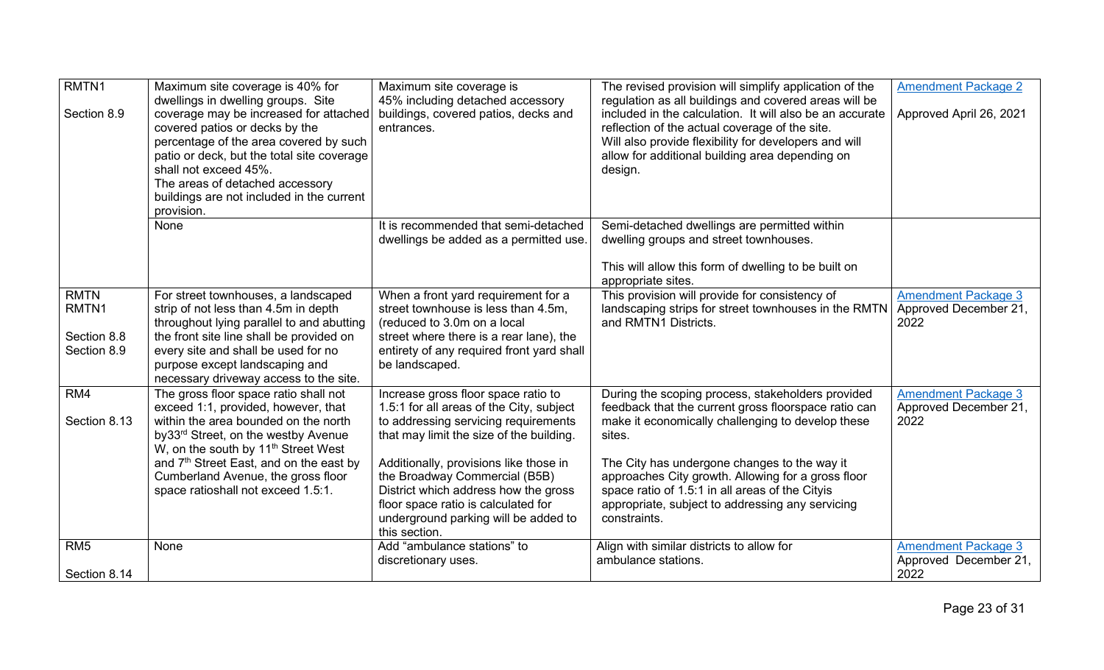| RMTN1<br>Section 8.9                               | Maximum site coverage is 40% for<br>dwellings in dwelling groups. Site<br>coverage may be increased for attached<br>covered patios or decks by the<br>percentage of the area covered by such<br>patio or deck, but the total site coverage<br>shall not exceed 45%.<br>The areas of detached accessory<br>buildings are not included in the current           | Maximum site coverage is<br>45% including detached accessory<br>buildings, covered patios, decks and<br>entrances.                                                                                                                                                                                                                                                                     | The revised provision will simplify application of the<br>regulation as all buildings and covered areas will be<br>included in the calculation. It will also be an accurate<br>reflection of the actual coverage of the site.<br>Will also provide flexibility for developers and will<br>allow for additional building area depending on<br>design.                                                  | <b>Amendment Package 2</b><br>Approved April 26, 2021       |
|----------------------------------------------------|---------------------------------------------------------------------------------------------------------------------------------------------------------------------------------------------------------------------------------------------------------------------------------------------------------------------------------------------------------------|----------------------------------------------------------------------------------------------------------------------------------------------------------------------------------------------------------------------------------------------------------------------------------------------------------------------------------------------------------------------------------------|-------------------------------------------------------------------------------------------------------------------------------------------------------------------------------------------------------------------------------------------------------------------------------------------------------------------------------------------------------------------------------------------------------|-------------------------------------------------------------|
|                                                    | provision.<br>None                                                                                                                                                                                                                                                                                                                                            | It is recommended that semi-detached<br>dwellings be added as a permitted use.                                                                                                                                                                                                                                                                                                         | Semi-detached dwellings are permitted within<br>dwelling groups and street townhouses.<br>This will allow this form of dwelling to be built on<br>appropriate sites.                                                                                                                                                                                                                                  |                                                             |
| <b>RMTN</b><br>RMTN1<br>Section 8.8<br>Section 8.9 | For street townhouses, a landscaped<br>strip of not less than 4.5m in depth<br>throughout lying parallel to and abutting<br>the front site line shall be provided on<br>every site and shall be used for no<br>purpose except landscaping and<br>necessary driveway access to the site.                                                                       | When a front yard requirement for a<br>street townhouse is less than 4.5m,<br>(reduced to 3.0m on a local<br>street where there is a rear lane), the<br>entirety of any required front yard shall<br>be landscaped.                                                                                                                                                                    | This provision will provide for consistency of<br>landscaping strips for street townhouses in the RMTN<br>and RMTN1 Districts.                                                                                                                                                                                                                                                                        | <b>Amendment Package 3</b><br>Approved December 21,<br>2022 |
| RM4<br>Section 8.13                                | The gross floor space ratio shall not<br>exceed 1:1, provided, however, that<br>within the area bounded on the north<br>by33 <sup>rd</sup> Street, on the westby Avenue<br>W, on the south by 11 <sup>th</sup> Street West<br>and 7 <sup>th</sup> Street East, and on the east by<br>Cumberland Avenue, the gross floor<br>space ratioshall not exceed 1.5:1. | Increase gross floor space ratio to<br>1.5:1 for all areas of the City, subject<br>to addressing servicing requirements<br>that may limit the size of the building.<br>Additionally, provisions like those in<br>the Broadway Commercial (B5B)<br>District which address how the gross<br>floor space ratio is calculated for<br>underground parking will be added to<br>this section. | During the scoping process, stakeholders provided<br>feedback that the current gross floorspace ratio can<br>make it economically challenging to develop these<br>sites.<br>The City has undergone changes to the way it<br>approaches City growth. Allowing for a gross floor<br>space ratio of 1.5:1 in all areas of the Cityis<br>appropriate, subject to addressing any servicing<br>constraints. | <b>Amendment Package 3</b><br>Approved December 21,<br>2022 |
| RM <sub>5</sub><br>Section 8.14                    | <b>None</b>                                                                                                                                                                                                                                                                                                                                                   | Add "ambulance stations" to<br>discretionary uses.                                                                                                                                                                                                                                                                                                                                     | Align with similar districts to allow for<br>ambulance stations.                                                                                                                                                                                                                                                                                                                                      | <b>Amendment Package 3</b><br>Approved December 21,<br>2022 |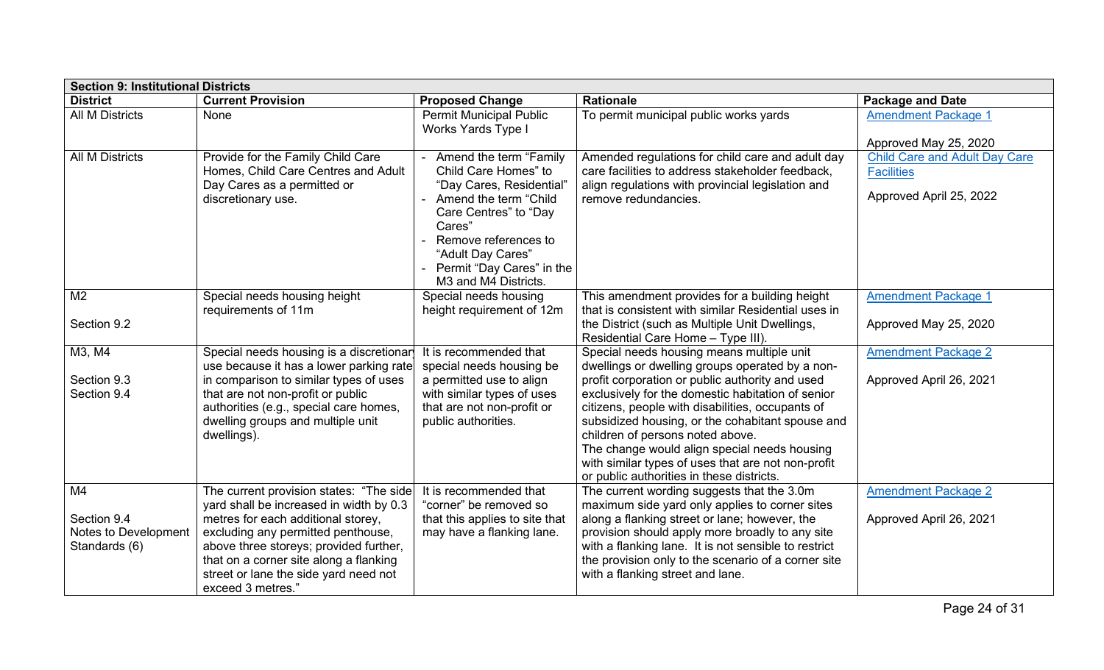|                                                                        | <b>Section 9: Institutional Districts</b>                                                                                                                                                                                                                                                                        |                                                                                                                                                                                                                                         |                                                                                                                                                                                                                                                                                                                                                                                                                                                                                                     |                                                                                      |  |  |  |
|------------------------------------------------------------------------|------------------------------------------------------------------------------------------------------------------------------------------------------------------------------------------------------------------------------------------------------------------------------------------------------------------|-----------------------------------------------------------------------------------------------------------------------------------------------------------------------------------------------------------------------------------------|-----------------------------------------------------------------------------------------------------------------------------------------------------------------------------------------------------------------------------------------------------------------------------------------------------------------------------------------------------------------------------------------------------------------------------------------------------------------------------------------------------|--------------------------------------------------------------------------------------|--|--|--|
| <b>District</b>                                                        | <b>Current Provision</b>                                                                                                                                                                                                                                                                                         | <b>Proposed Change</b>                                                                                                                                                                                                                  | <b>Rationale</b>                                                                                                                                                                                                                                                                                                                                                                                                                                                                                    | <b>Package and Date</b>                                                              |  |  |  |
| <b>All M Districts</b>                                                 | <b>None</b>                                                                                                                                                                                                                                                                                                      | Permit Municipal Public<br><b>Works Yards Type I</b>                                                                                                                                                                                    | To permit municipal public works yards                                                                                                                                                                                                                                                                                                                                                                                                                                                              | <b>Amendment Package 1</b><br>Approved May 25, 2020                                  |  |  |  |
| <b>All M Districts</b>                                                 | Provide for the Family Child Care<br>Homes, Child Care Centres and Adult<br>Day Cares as a permitted or<br>discretionary use.                                                                                                                                                                                    | Amend the term "Family<br>Child Care Homes" to<br>"Day Cares, Residential<br>Amend the term "Child<br>Care Centres" to "Day<br>Cares"<br>Remove references to<br>"Adult Day Cares"<br>Permit "Day Cares" in the<br>M3 and M4 Districts. | Amended regulations for child care and adult day<br>care facilities to address stakeholder feedback,<br>align regulations with provincial legislation and<br>remove redundancies.                                                                                                                                                                                                                                                                                                                   | <b>Child Care and Adult Day Care</b><br><b>Facilities</b><br>Approved April 25, 2022 |  |  |  |
| M <sub>2</sub><br>Section 9.2                                          | Special needs housing height<br>requirements of 11m                                                                                                                                                                                                                                                              | Special needs housing<br>height requirement of 12m                                                                                                                                                                                      | This amendment provides for a building height<br>that is consistent with similar Residential uses in<br>the District (such as Multiple Unit Dwellings,<br>Residential Care Home - Type III).                                                                                                                                                                                                                                                                                                        | <b>Amendment Package 1</b><br>Approved May 25, 2020                                  |  |  |  |
| M3, M4<br>Section 9.3<br>Section 9.4                                   | Special needs housing is a discretionar<br>use because it has a lower parking rate<br>in comparison to similar types of uses<br>that are not non-profit or public<br>authorities (e.g., special care homes,<br>dwelling groups and multiple unit<br>dwellings).                                                  | It is recommended that<br>special needs housing be<br>a permitted use to align<br>with similar types of uses<br>that are not non-profit or<br>public authorities.                                                                       | Special needs housing means multiple unit<br>dwellings or dwelling groups operated by a non-<br>profit corporation or public authority and used<br>exclusively for the domestic habitation of senior<br>citizens, people with disabilities, occupants of<br>subsidized housing, or the cohabitant spouse and<br>children of persons noted above.<br>The change would align special needs housing<br>with similar types of uses that are not non-profit<br>or public authorities in these districts. | <b>Amendment Package 2</b><br>Approved April 26, 2021                                |  |  |  |
| M <sub>4</sub><br>Section 9.4<br>Notes to Development<br>Standards (6) | The current provision states: "The side<br>yard shall be increased in width by 0.3<br>metres for each additional storey,<br>excluding any permitted penthouse,<br>above three storeys; provided further,<br>that on a corner site along a flanking<br>street or lane the side yard need not<br>exceed 3 metres." | It is recommended that<br>"corner" be removed so<br>that this applies to site that<br>may have a flanking lane.                                                                                                                         | The current wording suggests that the 3.0m<br>maximum side yard only applies to corner sites<br>along a flanking street or lane; however, the<br>provision should apply more broadly to any site<br>with a flanking lane. It is not sensible to restrict<br>the provision only to the scenario of a corner site<br>with a flanking street and lane.                                                                                                                                                 | <b>Amendment Package 2</b><br>Approved April 26, 2021                                |  |  |  |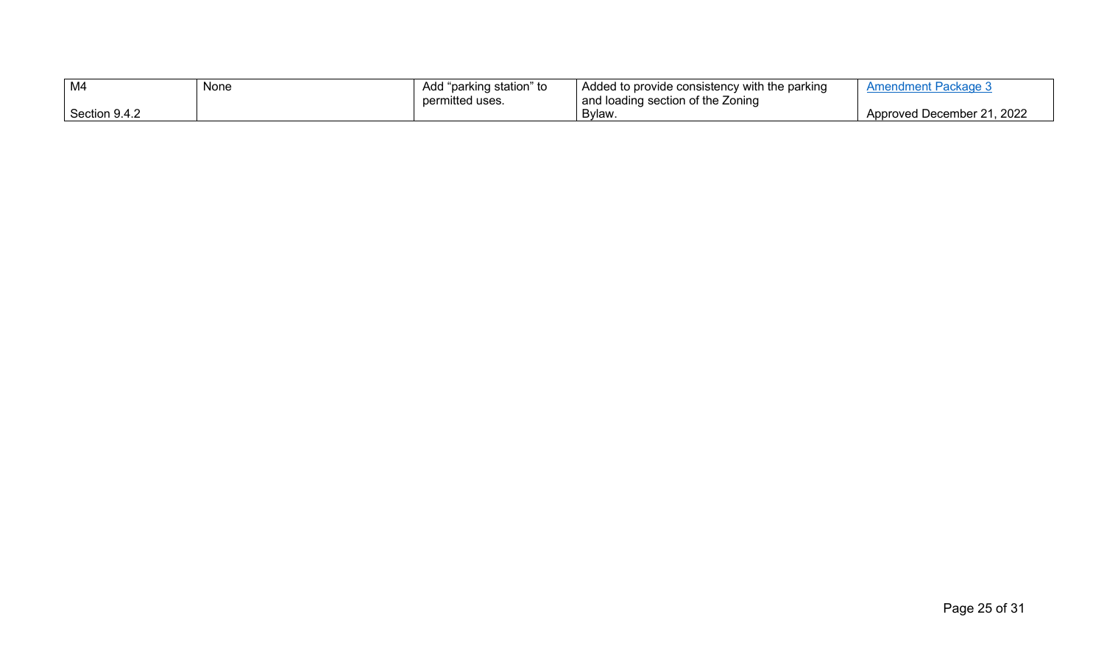| M4            | None | I "parking station" to<br>Add | Added to provide consistency with the parking | Amendment Package 3                    |
|---------------|------|-------------------------------|-----------------------------------------------|----------------------------------------|
|               |      | permitted uses.               | and loading section of the Zoning             |                                        |
| Section 9.4.2 |      |                               | Bylaw.                                        | l, 2022<br><b>Approved December 21</b> |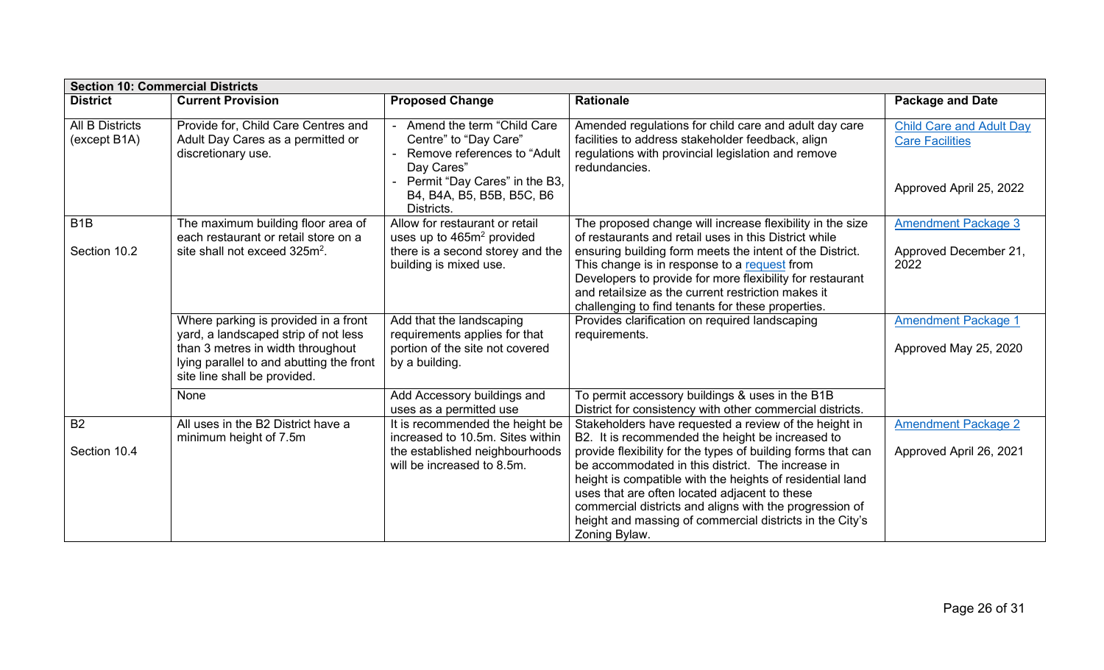| <b>Section 10: Commercial Districts</b> |                                                                                                                                                                                               |                                                                                                                                                                              |                                                                                                                                                                                                                                                                                                                                                                                                         |                                                                                      |  |  |
|-----------------------------------------|-----------------------------------------------------------------------------------------------------------------------------------------------------------------------------------------------|------------------------------------------------------------------------------------------------------------------------------------------------------------------------------|---------------------------------------------------------------------------------------------------------------------------------------------------------------------------------------------------------------------------------------------------------------------------------------------------------------------------------------------------------------------------------------------------------|--------------------------------------------------------------------------------------|--|--|
| <b>District</b>                         | <b>Current Provision</b>                                                                                                                                                                      | <b>Proposed Change</b>                                                                                                                                                       | <b>Rationale</b>                                                                                                                                                                                                                                                                                                                                                                                        | <b>Package and Date</b>                                                              |  |  |
| <b>All B Districts</b><br>(except B1A)  | Provide for, Child Care Centres and<br>Adult Day Cares as a permitted or<br>discretionary use.                                                                                                | Amend the term "Child Care<br>Centre" to "Day Care"<br>Remove references to "Adult<br>Day Cares"<br>Permit "Day Cares" in the B3,<br>B4, B4A, B5, B5B, B5C, B6<br>Districts. | Amended regulations for child care and adult day care<br>facilities to address stakeholder feedback, align<br>regulations with provincial legislation and remove<br>redundancies.                                                                                                                                                                                                                       | <b>Child Care and Adult Day</b><br><b>Care Facilities</b><br>Approved April 25, 2022 |  |  |
| B <sub>1</sub> B<br>Section 10.2        | The maximum building floor area of<br>each restaurant or retail store on a<br>site shall not exceed 325m <sup>2</sup> .                                                                       | Allow for restaurant or retail<br>uses up to 465m <sup>2</sup> provided<br>there is a second storey and the<br>building is mixed use.                                        | The proposed change will increase flexibility in the size<br>of restaurants and retail uses in this District while<br>ensuring building form meets the intent of the District.<br>This change is in response to a request from<br>Developers to provide for more flexibility for restaurant<br>and retail size as the current restriction makes it<br>challenging to find tenants for these properties. | <b>Amendment Package 3</b><br>Approved December 21,<br>2022                          |  |  |
|                                         | Where parking is provided in a front<br>yard, a landscaped strip of not less<br>than 3 metres in width throughout<br>lying parallel to and abutting the front<br>site line shall be provided. | Add that the landscaping<br>requirements applies for that<br>portion of the site not covered<br>by a building.                                                               | Provides clarification on required landscaping<br>requirements.                                                                                                                                                                                                                                                                                                                                         | <b>Amendment Package 1</b><br>Approved May 25, 2020                                  |  |  |
|                                         | None                                                                                                                                                                                          | Add Accessory buildings and<br>uses as a permitted use                                                                                                                       | To permit accessory buildings & uses in the B1B<br>District for consistency with other commercial districts.                                                                                                                                                                                                                                                                                            |                                                                                      |  |  |
| <b>B2</b><br>Section 10.4               | All uses in the B2 District have a<br>minimum height of 7.5m                                                                                                                                  | It is recommended the height be<br>increased to 10.5m. Sites within<br>the established neighbourhoods<br>will be increased to 8.5m.                                          | Stakeholders have requested a review of the height in<br>B2. It is recommended the height be increased to<br>provide flexibility for the types of building forms that can<br>be accommodated in this district. The increase in<br>height is compatible with the heights of residential land<br>uses that are often located adjacent to these                                                            | <b>Amendment Package 2</b><br>Approved April 26, 2021                                |  |  |
|                                         |                                                                                                                                                                                               |                                                                                                                                                                              | commercial districts and aligns with the progression of<br>height and massing of commercial districts in the City's<br>Zoning Bylaw.                                                                                                                                                                                                                                                                    |                                                                                      |  |  |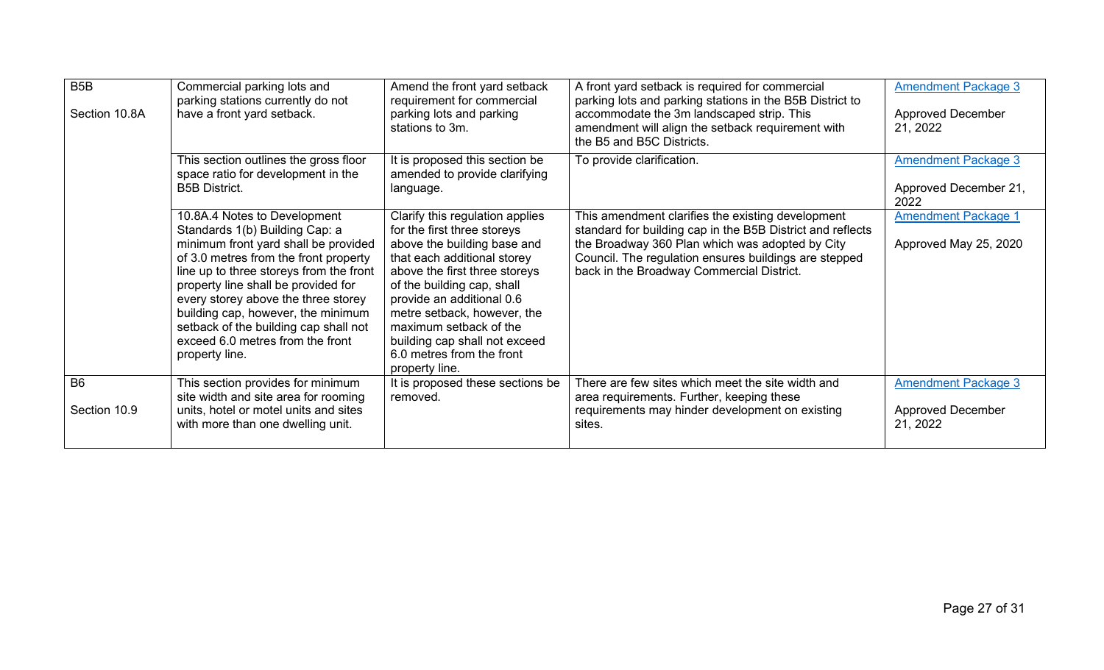| B <sub>5</sub> B<br>Section 10.8A | Commercial parking lots and<br>parking stations currently do not<br>have a front yard setback.                                                                                                                                                                                                                                                                                                                | Amend the front yard setback<br>requirement for commercial<br>parking lots and parking<br>stations to 3m.                                                                                                                                                                                                                                                         | A front yard setback is required for commercial<br>parking lots and parking stations in the B5B District to<br>accommodate the 3m landscaped strip. This<br>amendment will align the setback requirement with<br>the B5 and B5C Districts.                               | <b>Amendment Package 3</b><br><b>Approved December</b><br>21, 2022 |
|-----------------------------------|---------------------------------------------------------------------------------------------------------------------------------------------------------------------------------------------------------------------------------------------------------------------------------------------------------------------------------------------------------------------------------------------------------------|-------------------------------------------------------------------------------------------------------------------------------------------------------------------------------------------------------------------------------------------------------------------------------------------------------------------------------------------------------------------|--------------------------------------------------------------------------------------------------------------------------------------------------------------------------------------------------------------------------------------------------------------------------|--------------------------------------------------------------------|
|                                   | This section outlines the gross floor<br>space ratio for development in the<br><b>B5B District.</b>                                                                                                                                                                                                                                                                                                           | It is proposed this section be<br>amended to provide clarifying<br>language.                                                                                                                                                                                                                                                                                      | To provide clarification.                                                                                                                                                                                                                                                | <b>Amendment Package 3</b><br>Approved December 21,<br>2022        |
|                                   | 10.8A.4 Notes to Development<br>Standards 1(b) Building Cap: a<br>minimum front yard shall be provided<br>of 3.0 metres from the front property<br>line up to three storeys from the front<br>property line shall be provided for<br>every storey above the three storey<br>building cap, however, the minimum<br>setback of the building cap shall not<br>exceed 6.0 metres from the front<br>property line. | Clarify this regulation applies<br>for the first three storeys<br>above the building base and<br>that each additional storey<br>above the first three storeys<br>of the building cap, shall<br>provide an additional 0.6<br>metre setback, however, the<br>maximum setback of the<br>building cap shall not exceed<br>6.0 metres from the front<br>property line. | This amendment clarifies the existing development<br>standard for building cap in the B5B District and reflects<br>the Broadway 360 Plan which was adopted by City<br>Council. The regulation ensures buildings are stepped<br>back in the Broadway Commercial District. | <b>Amendment Package 1</b><br>Approved May 25, 2020                |
| B <sub>6</sub>                    | This section provides for minimum<br>site width and site area for rooming                                                                                                                                                                                                                                                                                                                                     | It is proposed these sections be<br>removed.                                                                                                                                                                                                                                                                                                                      | There are few sites which meet the site width and<br>area requirements. Further, keeping these                                                                                                                                                                           | <b>Amendment Package 3</b>                                         |
| Section 10.9                      | units, hotel or motel units and sites<br>with more than one dwelling unit.                                                                                                                                                                                                                                                                                                                                    |                                                                                                                                                                                                                                                                                                                                                                   | requirements may hinder development on existing<br>sites.                                                                                                                                                                                                                | <b>Approved December</b><br>21, 2022                               |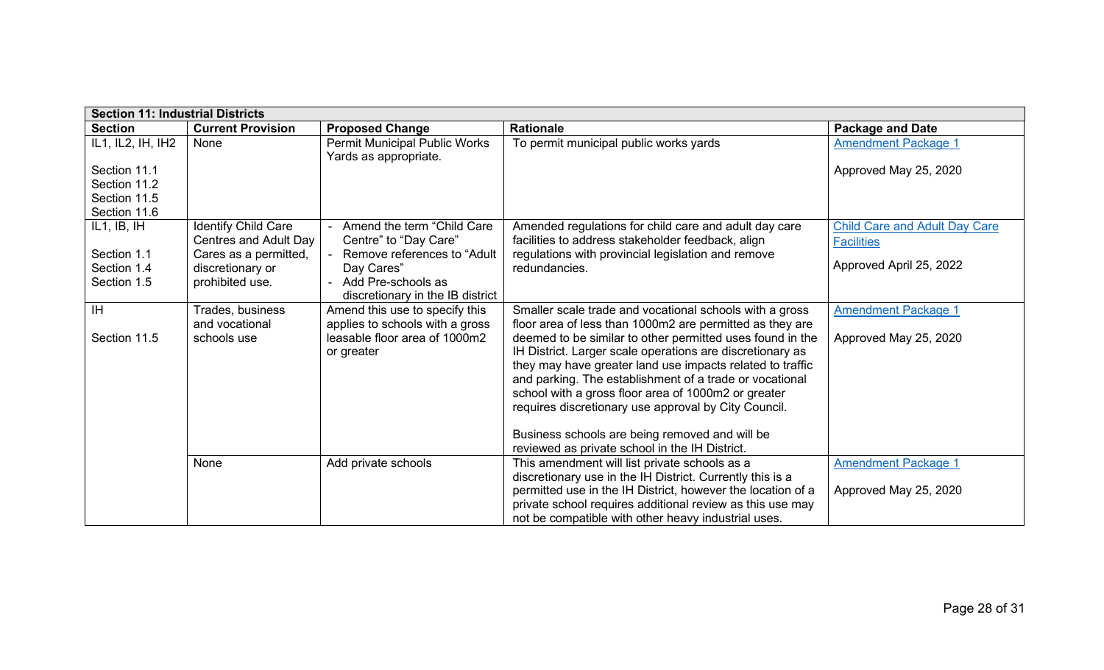| <b>Section 11: Industrial Districts</b> |                            |                                                          |                                                             |                                      |  |  |
|-----------------------------------------|----------------------------|----------------------------------------------------------|-------------------------------------------------------------|--------------------------------------|--|--|
| <b>Section</b>                          | <b>Current Provision</b>   | <b>Proposed Change</b>                                   | <b>Rationale</b>                                            | <b>Package and Date</b>              |  |  |
| IL1, IL2, IH, IH2                       | None                       | Permit Municipal Public Works<br>Yards as appropriate.   | To permit municipal public works yards                      | <b>Amendment Package 1</b>           |  |  |
| Section 11.1                            |                            |                                                          |                                                             | Approved May 25, 2020                |  |  |
| Section 11.2                            |                            |                                                          |                                                             |                                      |  |  |
| Section 11.5                            |                            |                                                          |                                                             |                                      |  |  |
| Section 11.6                            |                            |                                                          |                                                             |                                      |  |  |
| IL1, IB, IH                             | <b>Identify Child Care</b> | - Amend the term "Child Care                             | Amended regulations for child care and adult day care       | <b>Child Care and Adult Day Care</b> |  |  |
|                                         | Centres and Adult Day      | Centre" to "Day Care"                                    | facilities to address stakeholder feedback, align           | <b>Facilities</b>                    |  |  |
| Section 1.1                             | Cares as a permitted,      | Remove references to "Adult"                             | regulations with provincial legislation and remove          | Approved April 25, 2022              |  |  |
| Section 1.4                             | discretionary or           | Day Cares"                                               | redundancies.                                               |                                      |  |  |
| Section 1.5                             | prohibited use.            | - Add Pre-schools as<br>discretionary in the IB district |                                                             |                                      |  |  |
| <b>IH</b>                               | Trades, business           | Amend this use to specify this                           | Smaller scale trade and vocational schools with a gross     | <b>Amendment Package 1</b>           |  |  |
|                                         | and vocational             | applies to schools with a gross                          | floor area of less than 1000m2 are permitted as they are    |                                      |  |  |
| Section 11.5                            | schools use                | leasable floor area of 1000m2                            | deemed to be similar to other permitted uses found in the   | Approved May 25, 2020                |  |  |
|                                         |                            | or greater                                               | IH District. Larger scale operations are discretionary as   |                                      |  |  |
|                                         |                            |                                                          | they may have greater land use impacts related to traffic   |                                      |  |  |
|                                         |                            |                                                          | and parking. The establishment of a trade or vocational     |                                      |  |  |
|                                         |                            |                                                          | school with a gross floor area of 1000m2 or greater         |                                      |  |  |
|                                         |                            |                                                          | requires discretionary use approval by City Council.        |                                      |  |  |
|                                         |                            |                                                          |                                                             |                                      |  |  |
|                                         |                            |                                                          | Business schools are being removed and will be              |                                      |  |  |
|                                         |                            |                                                          | reviewed as private school in the IH District.              |                                      |  |  |
|                                         | None                       | Add private schools                                      | This amendment will list private schools as a               | <b>Amendment Package 1</b>           |  |  |
|                                         |                            |                                                          | discretionary use in the IH District. Currently this is a   |                                      |  |  |
|                                         |                            |                                                          | permitted use in the IH District, however the location of a | Approved May 25, 2020                |  |  |
|                                         |                            |                                                          | private school requires additional review as this use may   |                                      |  |  |
|                                         |                            |                                                          | not be compatible with other heavy industrial uses.         |                                      |  |  |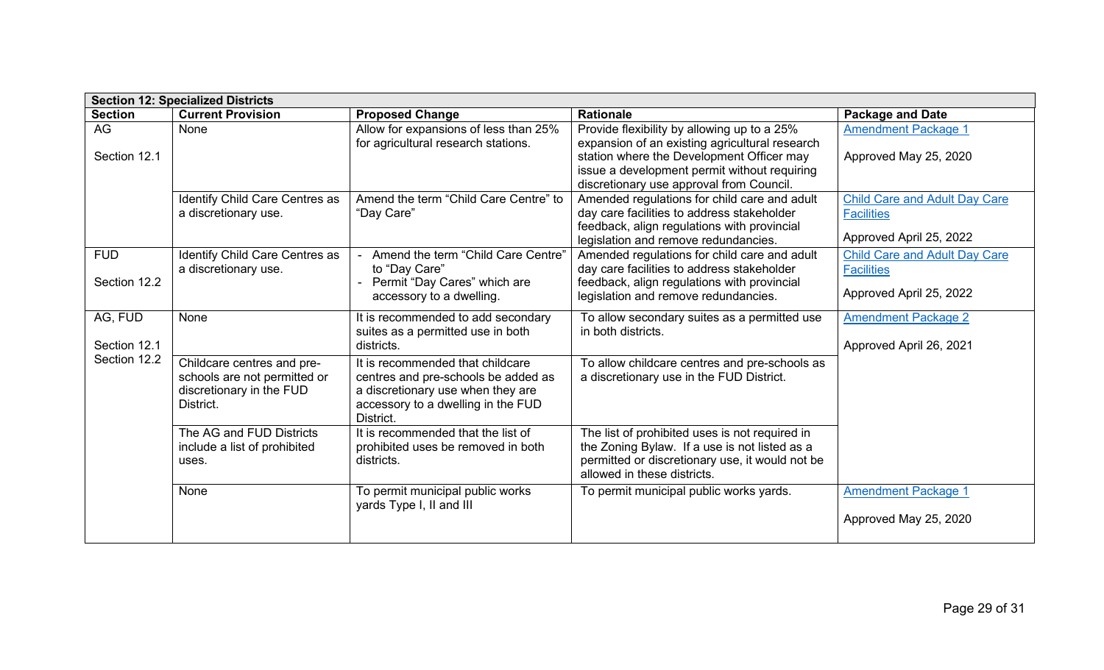| <b>Section 12: Specialized Districts</b> |                                                                                                     |                                                                                                                                                                 |                                                                                                                                                                                                                                        |                                                                                      |  |
|------------------------------------------|-----------------------------------------------------------------------------------------------------|-----------------------------------------------------------------------------------------------------------------------------------------------------------------|----------------------------------------------------------------------------------------------------------------------------------------------------------------------------------------------------------------------------------------|--------------------------------------------------------------------------------------|--|
| <b>Section</b>                           | <b>Current Provision</b>                                                                            | <b>Proposed Change</b>                                                                                                                                          | <b>Rationale</b>                                                                                                                                                                                                                       | <b>Package and Date</b>                                                              |  |
| AG<br>Section 12.1                       | None                                                                                                | Allow for expansions of less than 25%<br>for agricultural research stations.                                                                                    | Provide flexibility by allowing up to a 25%<br>expansion of an existing agricultural research<br>station where the Development Officer may<br>issue a development permit without requiring<br>discretionary use approval from Council. | <b>Amendment Package 1</b><br>Approved May 25, 2020                                  |  |
|                                          | Identify Child Care Centres as<br>a discretionary use.                                              | Amend the term "Child Care Centre" to<br>"Day Care"                                                                                                             | Amended regulations for child care and adult<br>day care facilities to address stakeholder<br>feedback, align regulations with provincial<br>legislation and remove redundancies.                                                      | <b>Child Care and Adult Day Care</b><br><b>Facilities</b><br>Approved April 25, 2022 |  |
| <b>FUD</b><br>Section 12.2               | Identify Child Care Centres as<br>a discretionary use.                                              | Amend the term "Child Care Centre"<br>to "Day Care"<br>Permit "Day Cares" which are<br>accessory to a dwelling.                                                 | Amended regulations for child care and adult<br>day care facilities to address stakeholder<br>feedback, align regulations with provincial<br>legislation and remove redundancies.                                                      | <b>Child Care and Adult Day Care</b><br><b>Facilities</b><br>Approved April 25, 2022 |  |
| AG, FUD<br>Section 12.1                  | None                                                                                                | It is recommended to add secondary<br>suites as a permitted use in both<br>districts.                                                                           | To allow secondary suites as a permitted use<br>in both districts.                                                                                                                                                                     | <b>Amendment Package 2</b><br>Approved April 26, 2021                                |  |
| Section 12.2                             | Childcare centres and pre-<br>schools are not permitted or<br>discretionary in the FUD<br>District. | It is recommended that childcare<br>centres and pre-schools be added as<br>a discretionary use when they are<br>accessory to a dwelling in the FUD<br>District. | To allow childcare centres and pre-schools as<br>a discretionary use in the FUD District.                                                                                                                                              |                                                                                      |  |
|                                          | The AG and FUD Districts<br>include a list of prohibited<br>uses.                                   | It is recommended that the list of<br>prohibited uses be removed in both<br>districts.                                                                          | The list of prohibited uses is not required in<br>the Zoning Bylaw. If a use is not listed as a<br>permitted or discretionary use, it would not be<br>allowed in these districts.                                                      |                                                                                      |  |
|                                          | None                                                                                                | To permit municipal public works<br>yards Type I, II and III                                                                                                    | To permit municipal public works yards.                                                                                                                                                                                                | <b>Amendment Package 1</b><br>Approved May 25, 2020                                  |  |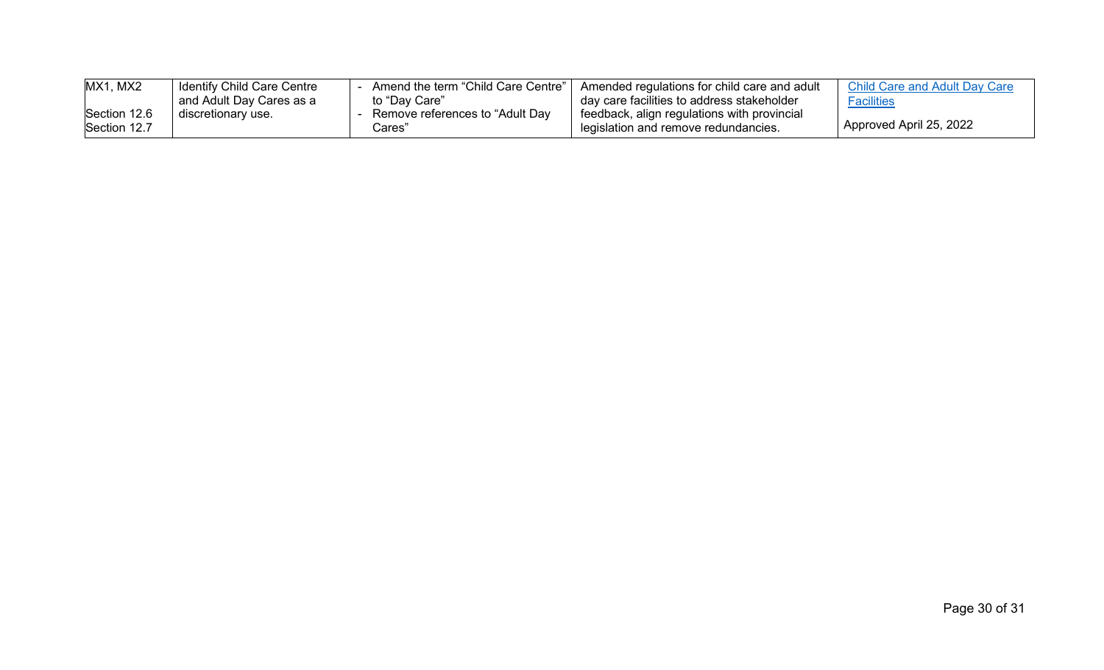| MX1, MX2     | <b>Identify Child Care Centre</b> | Amend the term "Child Care Centre" | Amended regulations for child care and adult  | Child Care and Adult Day Care |
|--------------|-----------------------------------|------------------------------------|-----------------------------------------------|-------------------------------|
|              | and Adult Day Cares as a          | to "Day Care"                      | day care facilities to address stakeholder    | <b>Facilities</b>             |
| Section 12.6 | discretionary use.                | Remove references to "Adult Dav    | ' feedback, align regulations with provincial |                               |
| Section 12.7 |                                   | Cares'                             | legislation and remove redundancies.          | Approved April 25, 2022       |